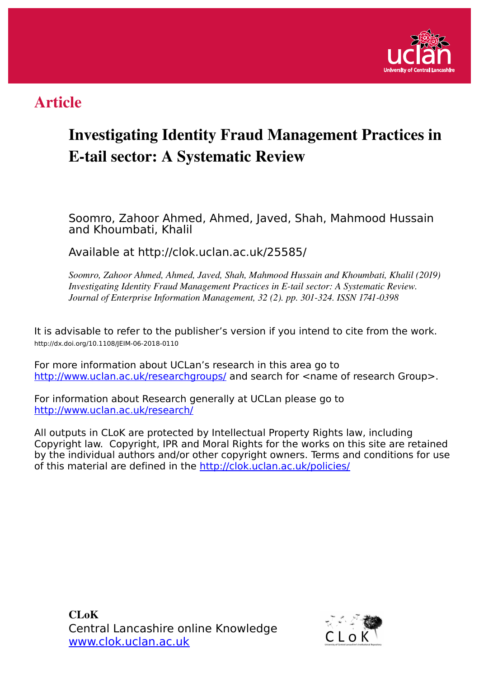

## Article

## Investigating Identity Fraud Management Practices in **E-tail sector: A Systematic Review**

Soomro, Zahoor Ahmed, Ahmed, Javed, Shah, Mahmood Hussain and Khoumbati, Khalil

Available at http://clok.uclan.ac.uk/25585/

*Soomro, Zahoor Ahmed, Ahmed, Javed, Shah, Mahmood Hussain and Khoumbati, Khalil (2019) Investigating Identity Fraud Management Practices in E-tail sector: A Systematic Review. Journal of Enterprise Information Management, 32 (2). pp. 301-324. ISSN 1741-0398* 

It is advisable to refer to the publisher's version if you intend to cite from the work. http://dx.doi.org/10.1108/JEIM-06-2018-0110

For more information about UCLan's research in this area go to <http://www.uclan.ac.uk/researchgroups/>and search for <name of research Group>.

For information about Research generally at UCLan please go to <http://www.uclan.ac.uk/research/>

All outputs in CLoK are protected by Intellectual Property Rights law, including Copyright law. Copyright, IPR and Moral Rights for the works on this site are retained by the individual authors and/or other copyright owners. Terms and conditions for use of this material are defined in the<http://clok.uclan.ac.uk/policies/>

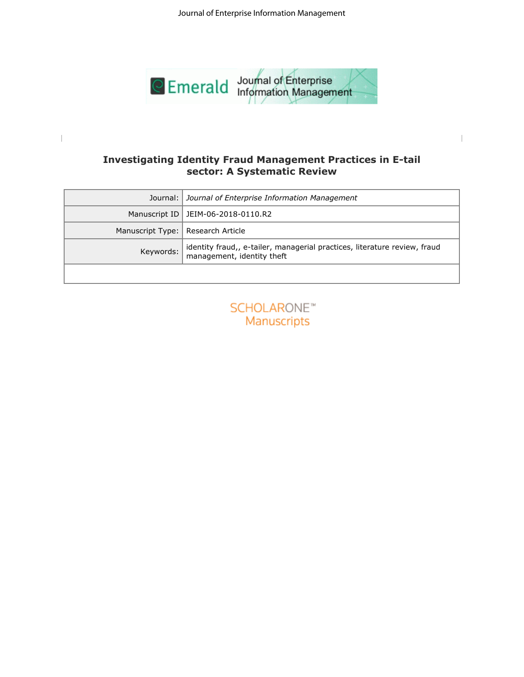

## **sector: A Systematic Review**

| Journal:<br>Journal of Enterprise Information Management<br>Manuscript ID<br>JEIM-06-2018-0110.R2<br>Manuscript Type:<br>Research Article<br>identity fraud,, e-tailer, managerial practices, literature review, fraud<br>Keywords:<br>management, identity theft<br>SCHOLARONE <sup>®</sup><br>Manuscripts | <b>Investigating Identity Fraud Management Practices in E-tail</b><br>sector: A Systematic Review |
|-------------------------------------------------------------------------------------------------------------------------------------------------------------------------------------------------------------------------------------------------------------------------------------------------------------|---------------------------------------------------------------------------------------------------|
|                                                                                                                                                                                                                                                                                                             |                                                                                                   |
|                                                                                                                                                                                                                                                                                                             |                                                                                                   |
|                                                                                                                                                                                                                                                                                                             |                                                                                                   |
|                                                                                                                                                                                                                                                                                                             |                                                                                                   |
|                                                                                                                                                                                                                                                                                                             |                                                                                                   |
|                                                                                                                                                                                                                                                                                                             |                                                                                                   |

| <b>SCHOLARONE™</b> |  |
|--------------------|--|
| <b>Manuscripts</b> |  |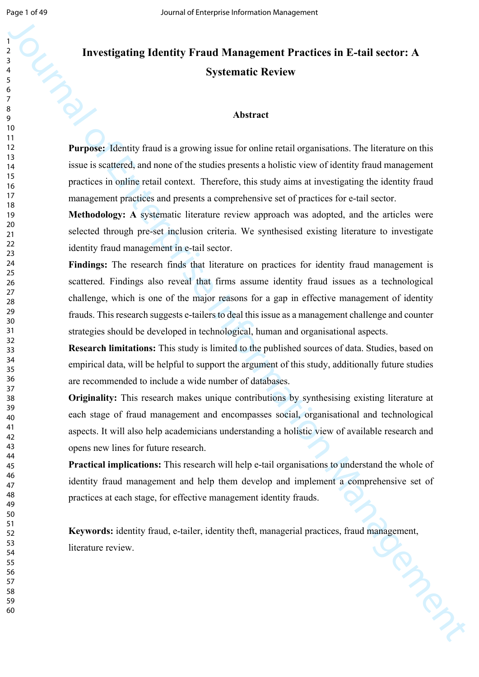# Investigating Identity Fraud Management Practices in E-tail sector: A<br>Systematic Review **Systematic Review**

#### **Abstract**

**Purpose:** Identity fraud is a growing issue for online retail organisations. The literature on this issue is scattered, and none of the studies presents a holistic view of identity fraud management practices in online retail context. Therefore, this study aims at investigating the identity fraud management practices and presents a comprehensive set of practices for e-tail sector.

**Methodology: A** systematic literature review approach was adopted, and the articles were selected through pre-set inclusion criteria. We synthesised existing literature to investigate identity fraud management in e-tail sector.

Journal of the method is a systematic control of the method is a systematic Review Systematic Review<br>Systematic Review Systematic Review<br>Matrice Constitute Constitute Constitute Constitute Constitute Constitute Constitute Findings: The research finds that literature on practices for identity fraud management is scattered. Findings also reveal that firms assume identity fraud issues as a technological challenge, which is one of the major reasons for a gap in effective management of identity frauds. This research suggests e-tailers to deal this issue as a management challenge and counter strategies should be developed in technological, human and organisational aspects.

**Research limitations:** This study is limited to the published sources of data. Studies, based on empirical data, will be helpful to support the argument of this study, additionally future studies are recommended to include a wide number of databases.

**Originality:** This research makes unique contributions by synthesising existing literature at each stage of fraud management and encompasses social, organisational and technological aspects. It will also help academicians understanding a holistic view of available research and opens new lines for future research.

**Practical implications:** This research will help e-tail organisations to understand the whole of identity fraud management and help them develop and implement a comprehensive set of practices at each stage, for effective management identity frauds.

Keywords: identity fraud, e-tailer, identity theft, managerial practices, fraud management, literature review. literature review.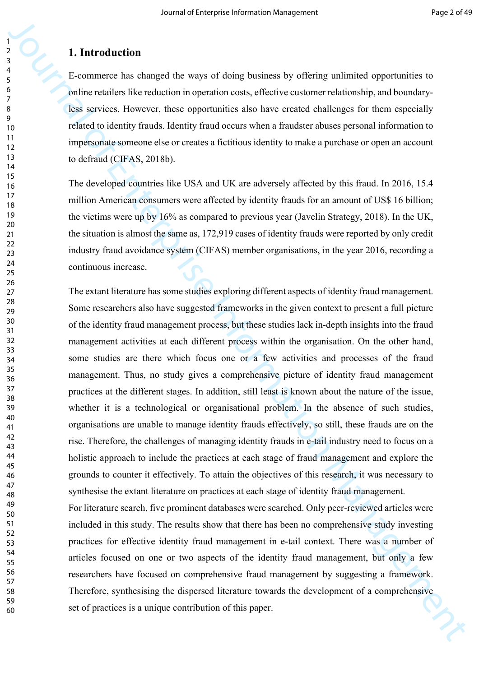#### **1. Introduction**

E-commerce has changed the ways of doing business by offering unlimited opportunities to online retailers like reduction in operation costs, effective customer relationship, and boundaryless services. However, these opportunities also have created challenges for them especially related to identity frauds. Identity fraud occurs when a fraudster abuses personal information to impersonate someone else or creates a fictitious identity to make a purchase or open an account to defraud (CIFAS, 2018b).

The developed countries like USA and UK are adversely affected by this fraud. In 2016, 15.4 million American consumers were affected by identity frauds for an amount of US\$ 16 billion; the victims were up by 16% as compared to previous year (Javelin Strategy, 2018). In the UK, the situation is almost the same as, 172,919 cases of identity frauds were reported by only credit industry fraud avoidance system (CIFAS) member organisations, in the year 2016, recording a continuous increase.

**1. Introduction**<br> **3.**<br> **4.** Externe that changed the stays of doing business by offering unitmised opportunities to<br>
polynometric has been such as the constrained information Management information Management Constraine The extant literature has some studies exploring different aspects of identity fraud management. Some researchers also have suggested frameworks in the given context to present a full picture of the identity fraud management process, but these studies lack in-depth insights into the fraud management activities at each different process within the organisation. On the other hand, some studies are there which focus one or a few activities and processes of the fraud management. Thus, no study gives a comprehensive picture of identity fraud management practices at the different stages. In addition, still least is known about the nature of the issue, whether it is a technological or organisational problem. In the absence of such studies, organisations are unable to manage identity frauds effectively, so still, these frauds are on the rise. Therefore, the challenges of managing identity frauds in e-tail industry need to focus on a holistic approach to include the practices at each stage of fraud management and explore the grounds to counter it effectively. To attain the objectives of this research, it was necessary to synthesise the extant literature on practices at each stage of identity fraud management.

For literature search, five prominent databases were searched. Only peer-reviewed articles were included in this study. The results show that there has been no comprehensive study investing practices for effective identity fraud management in e-tail context. There was a number of articles focused on one or two aspects of the identity fraud management, but only a few researchers have focused on comprehensive fraud management by suggesting a framework. Therefore, synthesising the dispersed literature towards the development of a comprehensive set of practices is a unique contribution of this paper.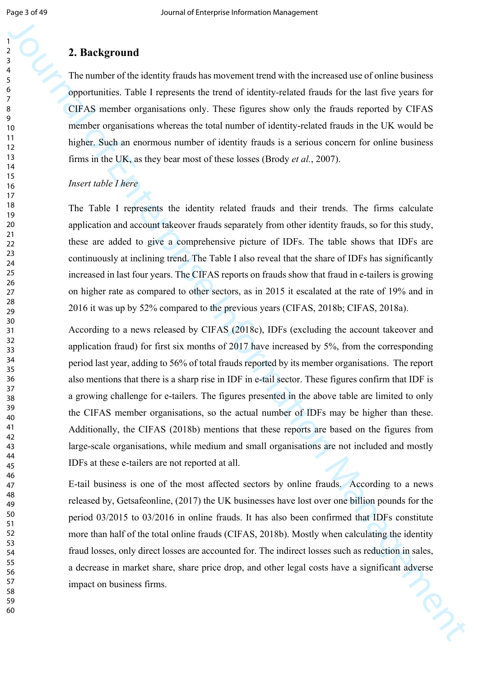#### **2. Background**

The number of the identity frauds has movement trend with the increased use of online business opportunities. Table I represents the trend of identity-related frauds for the last five years for CIFAS member organisations only. These figures show only the frauds reported by CIFAS member organisations whereas the total number of identity-related frauds in the UK would be higher. Such an enormous number of identity frauds is a serious concern for online business firms in the UK, as they bear most of these losses (Brody *et al.*, 2007).

#### *Insert table I here*

The Table I represents the identity related frauds and their trends. The firms calculate application and account takeover frauds separately from other identity frauds, so for this study, these are added to give a comprehensive picture of IDFs. The table shows that IDFs are continuously at inclining trend. The Table I also reveal that the share of IDFs has significantly increased in last four years. The CIFAS reports on frauds show that fraud in e-tailers is growing on higher rate as compared to other sectors, as in 2015 it escalated at the rate of 19% and in 2016 it was up by 52% compared to the previous years (CIFAS, 2018b; CIFAS, 2018a).

**2. Background**<br> **3. Background**<br> **3. The current of the strength function** and the strength function of the tract for the strength function<br>
(B) the strength current of the strength of the strength of the strength of<br>
CH According to a news released by CIFAS (2018c), IDFs (excluding the account takeover and application fraud) for first six months of 2017 have increased by 5%, from the corresponding period last year, adding to 56% of total frauds reported by its member organisations. The report also mentions that there is a sharp rise in IDF in e-tail sector. These figures confirm that IDF is a growing challenge for e-tailers. The figures presented in the above table are limited to only the CIFAS member organisations, so the actual number of IDFs may be higher than these. Additionally, the CIFAS (2018b) mentions that these reports are based on the figures from large-scale organisations, while medium and small organisations are not included and mostly IDFs at these e-tailers are not reported at all.

E-tail business is one of the most affected sectors by online frauds. According to a news released by, Getsafeonline, (2017) the UK businesses have lost over one billion pounds for the period 03/2015 to 03/2016 in online frauds. It has also been confirmed that IDFs constitute more than half of the total online frauds (CIFAS, 2018b). Mostly when calculating the identity fraud losses, only direct losses are accounted for. The indirect losses such as reduction in sales, a decrease in market share, share price drop, and other legal costs have a significant adverse impact on business firms.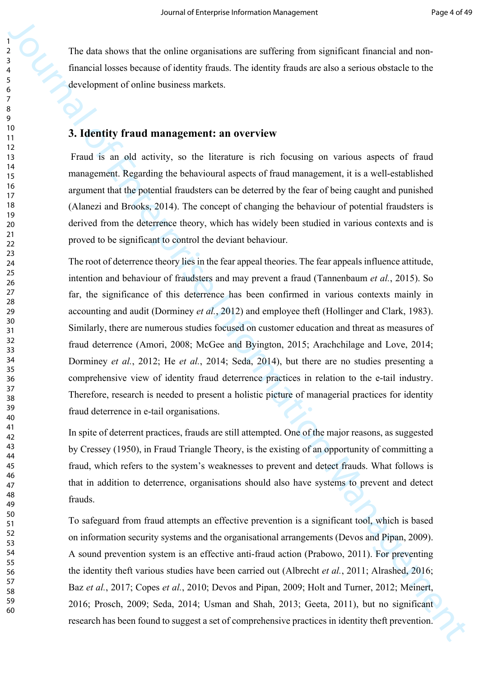The data shows that the online organisations are suffering from significant financial and nonfinancial losses because of identity frauds. The identity frauds are also a serious obstacle to the development of online business markets.

#### **3. Identity fraud management: an overview**

 Fraud is an old activity, so the literature is rich focusing on various aspects of fraud management. Regarding the behavioural aspects of fraud management, it is a well-established argument that the potential fraudsters can be deterred by the fear of being caught and punished (Alanezi and Brooks, 2014). The concept of changing the behaviour of potential fraudsters is derived from the deterrence theory, which has widely been studied in various contexts and is proved to be significant to control the deviant behaviour.

**19**<br>
The data vivos that the soline corporation are suffering from significant formation long-<br>
function long-schemes in a statistic function function and the solicity function of the solicity from the solicity from the The root of deterrence theory lies in the fear appeal theories. The fear appeals influence attitude, intention and behaviour of fraudsters and may prevent a fraud (Tannenbaum *et al.*, 2015). So far, the significance of this deterrence has been confirmed in various contexts mainly in accounting and audit (Dorminey *et al.*, 2012) and employee theft (Hollinger and Clark, 1983). Similarly, there are numerous studies focused on customer education and threat as measures of fraud deterrence (Amori, 2008; McGee and Byington, 2015; Arachchilage and Love, 2014; Dorminey *et al.*, 2012; He *et al.*, 2014; Seda, 2014), but there are no studies presenting a comprehensive view of identity fraud deterrence practices in relation to the e-tail industry. Therefore, research is needed to present a holistic picture of managerial practices for identity fraud deterrence in e-tail organisations.

In spite of deterrent practices, frauds are still attempted. One of the major reasons, as suggested by Cressey (1950), in Fraud Triangle Theory, is the existing of an opportunity of committing a fraud, which refers to the system's weaknesses to prevent and detect frauds. What follows is that in addition to deterrence, organisations should also have systems to prevent and detect frauds.

To safeguard from fraud attempts an effective prevention is a significant tool, which is based on information security systems and the organisational arrangements (Devos and Pipan, 2009). A sound prevention system is an effective anti-fraud action (Prabowo, 2011). For preventing the identity theft various studies have been carried out (Albrecht *et al.*, 2011; Alrashed, 2016; Baz *et al.*, 2017; Copes *et al.*, 2010; Devos and Pipan, 2009; Holt and Turner, 2012; Meinert, 2016; Prosch, 2009; Seda, 2014; Usman and Shah, 2013; Geeta, 2011), but no significant research has been found to suggest a set of comprehensive practices in identity theft prevention.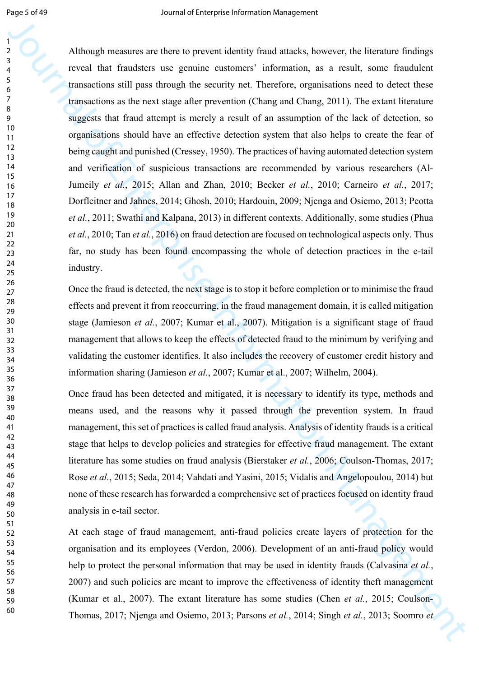Journal of the main state the two states is the state of the states, between the linear states and the states in the state of the main state of the state of the state of the state of the state of the state of the state of Although measures are there to prevent identity fraud attacks, however, the literature findings reveal that fraudsters use genuine customers' information, as a result, some fraudulent transactions still pass through the security net. Therefore, organisations need to detect these transactions as the next stage after prevention (Chang and Chang, 2011). The extant literature suggests that fraud attempt is merely a result of an assumption of the lack of detection, so organisations should have an effective detection system that also helps to create the fear of being caught and punished (Cressey, 1950). The practices of having automated detection system and verification of suspicious transactions are recommended by various researchers (Al-Jumeily *et al.*, 2015; Allan and Zhan, 2010; Becker *et al.*, 2010; Carneiro *et al.*, 2017; Dorfleitner and Jahnes, 2014; Ghosh, 2010; Hardouin, 2009; Njenga and Osiemo, 2013; Peotta *et al.*, 2011; Swathi and Kalpana, 2013) in different contexts. Additionally, some studies (Phua *et al.*, 2010; Tan *et al.*, 2016) on fraud detection are focused on technological aspects only. Thus far, no study has been found encompassing the whole of detection practices in the e-tail industry.

Once the fraud is detected, the next stage is to stop it before completion or to minimise the fraud effects and prevent it from reoccurring, in the fraud management domain, it is called mitigation stage (Jamieson *et al.*, 2007; Kumar et al., 2007). Mitigation is a significant stage of fraud management that allows to keep the effects of detected fraud to the minimum by verifying and validating the customer identifies. It also includes the recovery of customer credit history and information sharing (Jamieson *et al.*, 2007; Kumar et al., 2007; Wilhelm, 2004).

Once fraud has been detected and mitigated, it is necessary to identify its type, methods and means used, and the reasons why it passed through the prevention system. In fraud management, this set of practices is called fraud analysis. Analysis of identity frauds is a critical stage that helps to develop policies and strategies for effective fraud management. The extant literature has some studies on fraud analysis (Bierstaker *et al.*, 2006; Coulson-Thomas, 2017; Rose *et al.*, 2015; Seda, 2014; Vahdati and Yasini, 2015; Vidalis and Angelopoulou, 2014) but none of these research has forwarded a comprehensive set of practices focused on identity fraud analysis in e-tail sector.

At each stage of fraud management, anti-fraud policies create layers of protection for the organisation and its employees (Verdon, 2006). Development of an anti-fraud policy would help to protect the personal information that may be used in identity frauds (Calvasina *et al.*, 2007) and such policies are meant to improve the effectiveness of identity theft management (Kumar et al., 2007). The extant literature has some studies (Chen *et al.*, 2015; Coulson-Thomas, 2017; Njenga and Osiemo, 2013; Parsons *et al.*, 2014; Singh *et al.*, 2013; Soomro *et*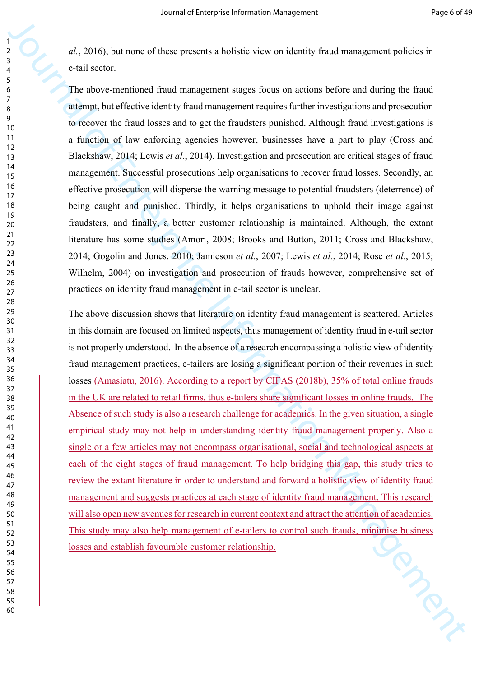*al.*, 2016), but none of these presents a holistic view on identity fraud management policies in e-tail sector.

The above-mentioned fraud management stages focus on actions before and during the fraud attempt, but effective identity fraud management requires further investigations and prosecution to recover the fraud losses and to get the fraudsters punished. Although fraud investigations is a function of law enforcing agencies however, businesses have a part to play (Cross and Blackshaw, 2014; Lewis *et al.*, 2014). Investigation and prosecution are critical stages of fraud management. Successful prosecutions help organisations to recover fraud losses. Secondly, an effective prosecution will disperse the warning message to potential fraudsters (deterrence) of being caught and punished. Thirdly, it helps organisations to uphold their image against fraudsters, and finally, a better customer relationship is maintained. Although, the extant literature has some studies (Amori, 2008; Brooks and Button, 2011; Cross and Blackshaw, 2014; Gogolin and Jones, 2010; Jamieson *et al.*, 2007; Lewis *et al.*, 2014; Rose *et al.*, 2015; Wilhelm, 2004) on investigation and prosecution of frauds however, comprehensive set of practices on identity fraud management in e-tail sector is unclear.

α. 2016), hat more of these presents a hotelectrose or sterinty final emergeneous proferes a<br>call account the set of the property and the property step of the final of the final of the final of the final times and prope The above discussion shows that literature on identity fraud management is scattered. Articles in this domain are focused on limited aspects, thus management of identity fraud in e-tail sector is not properly understood. In the absence of a research encompassing a holistic view of identity fraud management practices, e-tailers are losing a significant portion of their revenues in such losses (Amasiatu, 2016). According to a report by CIFAS (2018b), 35% of total online frauds in the UK are related to retail firms, thus e-tailers share significant losses in online frauds. The Absence of such study is also a research challenge for academics. In the given situation, a single empirical study may not help in understanding identity fraud management properly. Also a single or a few articles may not encompass organisational, social and technological aspects at each of the eight stages of fraud management. To help bridging this gap, this study tries to review the extant literature in order to understand and forward a holistic view of identity fraud management and suggests practices at each stage of identity fraud management. This research will also open new avenues for research in current context and attract the attention of academics. This study may also help management of e-tailers to control such frauds, minimise business<br>losses and establish favourable customer relationship. losses and establish favourable customer relationship.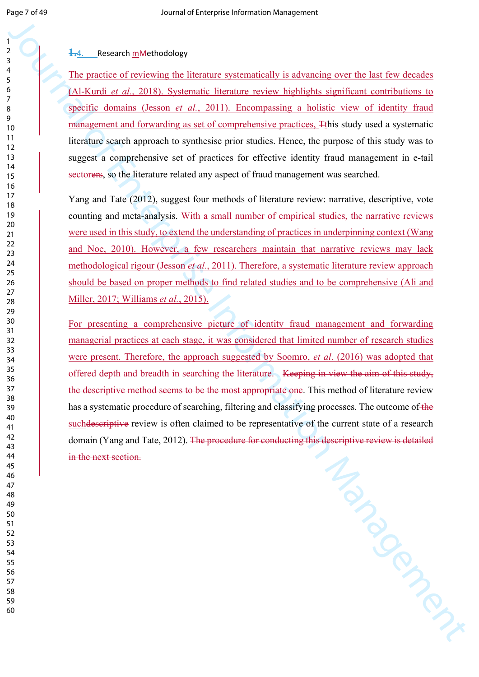#### **1.**4. Research mMethodology

The practice of reviewing the literature systematically is advancing over the last few decades (Al-Kurdi *et al.*, 2018). Systematic literature review highlights significant contributions to specific domains (Jesson *et al.*, 2011). Encompassing a holistic view of identity fraud management and forwarding as set of comprehensive practices, Tthis study used a systematic literature search approach to synthesise prior studies. Hence, the purpose of this study was to suggest a comprehensive set of practices for effective identity fraud management in e-tail sectorers, so the literature related any aspect of fraud management was searched.

Yang and Tate (2012), suggest four methods of literature review: narrative, descriptive, vote counting and meta-analysis. With a small number of empirical studies, the narrative reviews were used in this study, to extend the understanding of practices in underpinning context (Wang and Noe, 2010). However, a few researchers maintain that narrative reviews may lack methodological rigour (Jesson *et al.*, 2011). Therefore, a systematic literature review approach should be based on proper methods to find related studies and to be comprehensive (Ali and Miller, 2017; Williams *et al.*, 2015).

 $\frac{1}{2}$  (Security) the procedure of the Controller Controller Controller Controller (The matrice of residentic and the Hannel Controller Controller Controller and Hannel Controller Controller Controller Controller Contr For presenting a comprehensive picture of identity fraud management and forwarding managerial practices at each stage, it was considered that limited number of research studies were present. Therefore, the approach suggested by Soomro, *et al*. (2016) was adopted that offered depth and breadth in searching the literature. Keeping in view the aim of this study, the descriptive method seems to be the most appropriate one. This method of literature review has a systematic procedure of searching, filtering and classifying processes. The outcome of the such descriptive review is often claimed to be representative of the current state of a research domain (Yang and Tate, 2012). The procedure for conducting this descriptive review is detailed in the next section.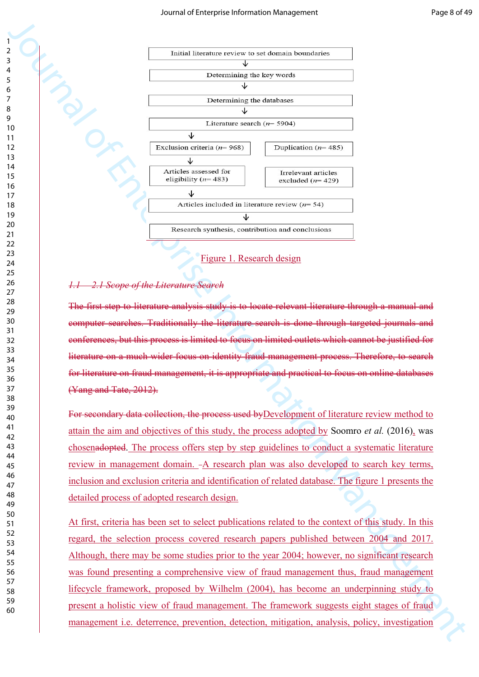

#### *1.1 2.1 Scope of the Literature Search*

The first step to literature analysis study is to locate relevant literature through a manual and computer searches. Traditionally the literature search is done through targeted journals and conferences, but this process is limited to focus on limited outlets which cannot be justified for literature on a much wider focus on identity fraud management process. Therefore, to search for literature on fraud management, it is appropriate and practical to focus on online databases (Yang and Tate, 2012).

For secondary data collection, the process used byDevelopment of literature review method to attain the aim and objectives of this study, the process adopted by Soomro *et al.* (2016), was chosenadopted. The process offers step by step guidelines to conduct a systematic literature review in management domain. -A research plan was also developed to search key terms, inclusion and exclusion criteria and identification of related database. The figure 1 presents the detailed process of adopted research design.

At first, criteria has been set to select publications related to the context of this study. In this regard, the selection process covered research papers published between 2004 and 2017. Although, there may be some studies prior to the year 2004; however, no significant research was found presenting a comprehensive view of fraud management thus, fraud management lifecycle framework, proposed by Wilhelm (2004), has become an underpinning study to present a holistic view of fraud management. The framework suggests eight stages of fraud management i.e. deterrence, prevention, detection, mitigation, analysis, policy, investigation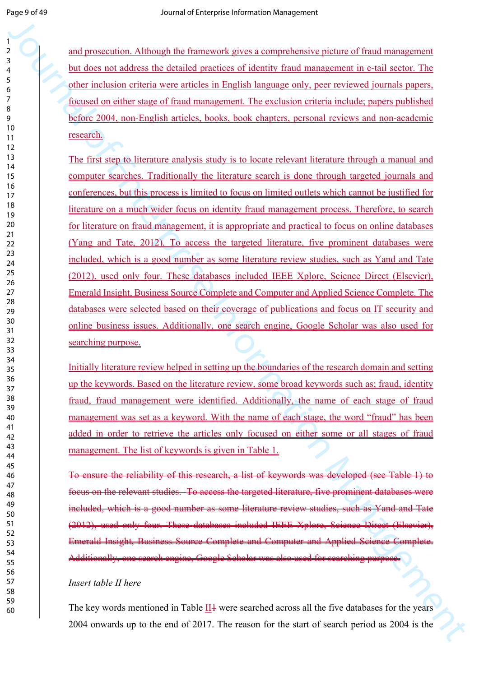and prosecution. Although the framework gives a comprehensive picture of fraud management but does not address the detailed practices of identity fraud management in e-tail sector. The other inclusion criteria were articles in English language only, peer reviewed journals papers, focused on either stage of fraud management. The exclusion criteria include; papers published before 2004, non-English articles, books, book chapters, personal reviews and non-academic research.

and measures whill the furteent stress commutes<br>the site in this state. The state of the state of the state of the state of<br>the state in the state in the state of the state of the state of the state of<br>the state in the st The first step to literature analysis study is to locate relevant literature through a manual and computer searches. Traditionally the literature search is done through targeted journals and conferences, but this process is limited to focus on limited outlets which cannot be justified for literature on a much wider focus on identity fraud management process. Therefore, to search for literature on fraud management, it is appropriate and practical to focus on online databases (Yang and Tate, 2012). To access the targeted literature, five prominent databases were included, which is a good number as some literature review studies, such as Yand and Tate (2012), used only four. These databases included IEEE Xplore, Science Direct (Elsevier), Emerald Insight, Business Source Complete and Computer and Applied Science Complete. The databases were selected based on their coverage of publications and focus on IT security and online business issues. Additionally, one search engine, Google Scholar was also used for searching purpose.

Initially literature review helped in setting up the boundaries of the research domain and setting up the keywords. Based on the literature review, some broad keywords such as; fraud, identity fraud, fraud management were identified. Additionally, the name of each stage of fraud management was set as a keyword. With the name of each stage, the word "fraud" has been added in order to retrieve the articles only focused on either some or all stages of fraud management. The list of keywords is given in Table 1.

To ensure the reliability of this research, a list of keywords was developed (see Table 1) to focus on the relevant studies. To access the targeted literature, five prominent databases were included, which is a good number as some literature review studies, such as Yand and Tate (2012), used only four. These databases included IEEE Xplore, Science Direct (Elsevier), Emerald Insight, Business Source Complete and Computer and Applied Science Complete. Additionally, one search engine, Google Scholar was also used for searching purpose.

#### *Insert table II here*

The key words mentioned in Table II4 were searched across all the five databases for the years 2004 onwards up to the end of 2017. The reason for the start of search period as 2004 is the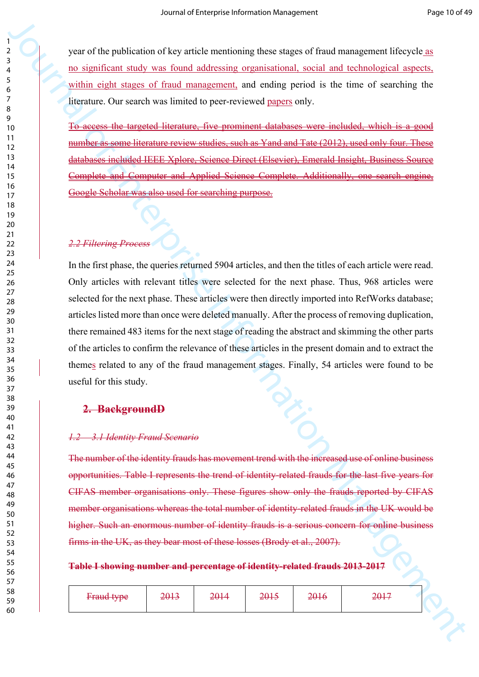year of the publication of key article mentioning these stages of fraud management lifecycle as no significant study was found addressing organisational, social and technological aspects, within eight stages of fraud management, and ending period is the time of searching the literature. Our search was limited to peer-reviewed papers only.

To access the targeted literature, five prominent databases were included, which is a good number as some literature review studies, such as Yand and Tate (2012), used only four. These databases included IEEE Xplore, Science Direct (Elsevier), Emerald Insight, Business Source Complete and Computer and Applied Science Complete. Additionally, one search engine, Google Scholar was also used for searching purpose.

#### *2.2 Filtering Process*

32<br>
State of the multicalism of the probabilities in the multicalism of the multicalism of the multicalism of the multicalism of the multicalism of the multicalism of the multicalism of the multicalism of the multicalis In the first phase, the queries returned 5904 articles, and then the titles of each article were read. Only articles with relevant titles were selected for the next phase. Thus, 968 articles were selected for the next phase. These articles were then directly imported into RefWorks database; articles listed more than once were deleted manually. After the process of removing duplication, there remained 483 items for the next stage of reading the abstract and skimming the other parts of the articles to confirm the relevance of these articles in the present domain and to extract the themes related to any of the fraud management stages. Finally, 54 articles were found to be useful for this study.

#### **2. BackgroundD**

#### *1.2 3.1 Identity Fraud Scenario*

The number of the identity frauds has movement trend with the increased use of online business opportunities. Table I represents the trend of identity-related frauds for the last five years for CIFAS member organisations only. These figures show only the frauds reported by CIFAS member organisations whereas the total number of identity-related frauds in the UK would be higher. Such an enormous number of identity frauds is a serious concern for online business firms in the UK, as they bear most of these losses (Brody et al., 2007).

#### **Table I showing number and percentage of identity-related frauds 2013-2017**

| <b>Fraud type</b> | 2013 | 2014 | 2015 | 2016 | 3017<br><del>∠∪1 /</del> |
|-------------------|------|------|------|------|--------------------------|
|                   |      |      |      |      |                          |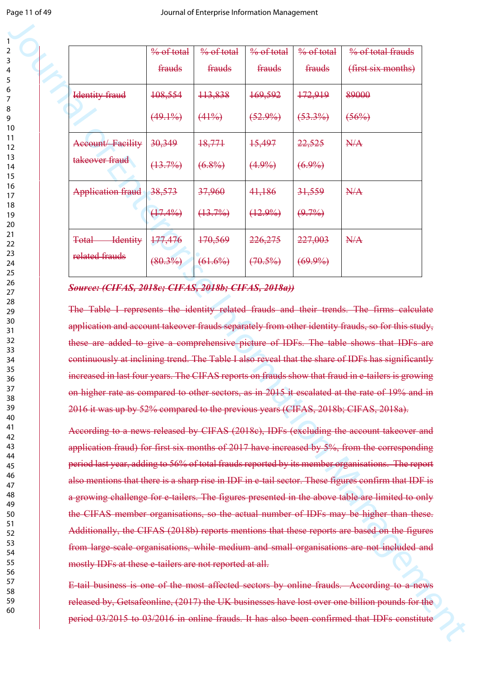|                                                                                                                                                                                                                                                                                                                                                                                                                                                                                                                                                          | % of total | $\frac{9}{6}$ of total | % of total | $\frac{9}{6}$ of total | % of total frauds  |
|----------------------------------------------------------------------------------------------------------------------------------------------------------------------------------------------------------------------------------------------------------------------------------------------------------------------------------------------------------------------------------------------------------------------------------------------------------------------------------------------------------------------------------------------------------|------------|------------------------|------------|------------------------|--------------------|
|                                                                                                                                                                                                                                                                                                                                                                                                                                                                                                                                                          | frauds     | frauds                 | frauds     | frauds                 | (first six months) |
| <b>Identity</b> fraud                                                                                                                                                                                                                                                                                                                                                                                                                                                                                                                                    | 108,554    | 113,838                | 169,592    | 172,919                | 89000              |
|                                                                                                                                                                                                                                                                                                                                                                                                                                                                                                                                                          | $(49.1\%)$ | $(41\%)$               | $(52.9\%)$ | $(53.3\%)$             | $(56\%)$           |
| Account/Facility                                                                                                                                                                                                                                                                                                                                                                                                                                                                                                                                         | 30,349     | 18,771                 | 15,497     | 22,525                 | N/A                |
| takeover fraud                                                                                                                                                                                                                                                                                                                                                                                                                                                                                                                                           | $(13.7\%)$ | $(6.8\%)$              | $(4.9\%)$  | $(6.9\%)$              |                    |
| <b>Application fraud</b>                                                                                                                                                                                                                                                                                                                                                                                                                                                                                                                                 | 38,573     | 37,960                 | 41,186     | 31,559                 | N/A                |
|                                                                                                                                                                                                                                                                                                                                                                                                                                                                                                                                                          | $(17.4\%)$ | $(13.7\%)$             | $(12.9\%)$ | $(9.7\%)$              |                    |
| <b>Identity</b><br><b>Total</b>                                                                                                                                                                                                                                                                                                                                                                                                                                                                                                                          | 177,476    | 170,569                | 226,275    | 227,003                | N/A                |
| related frauds                                                                                                                                                                                                                                                                                                                                                                                                                                                                                                                                           | $(80.3\%)$ | $(61.6\%)$             | $(70.5\%)$ | $(69.9\%)$             |                    |
| Source: (CIFAS, 2018c; CIFAS, 2018b; CIFAS, 2018a))<br>The Table I represents the identity related frauds and their trends. The firms calculate<br>application and account takeover frauds separately from other identity frauds, so for this study,<br>these are added to give a comprehensive picture of IDFs. The table shows that IDFs are<br>continuously at inclining trend. The Table I also reveal that the share of IDFs has significantly<br>increased in last four years. The CIFAS reports on frauds show that fraud in e-tailers is growing |            |                        |            |                        |                    |
| on higher rate as compared to other sectors, as in 2015 it escalated at the rate of 19% and in                                                                                                                                                                                                                                                                                                                                                                                                                                                           |            |                        |            |                        |                    |
| 2016 it was up by 52% compared to the previous years (CIFAS, 2018b; CIFAS, 2018a).                                                                                                                                                                                                                                                                                                                                                                                                                                                                       |            |                        |            |                        |                    |
| According to a news released by CIFAS (2018c), IDFs (excluding the account takeover and                                                                                                                                                                                                                                                                                                                                                                                                                                                                  |            |                        |            |                        |                    |
| application fraud) for first six months of 2017 have increased by 5%, from the corresponding<br>period last year, adding to 56% of total frauds reported by its member organisations. The report                                                                                                                                                                                                                                                                                                                                                         |            |                        |            |                        |                    |
| also mentions that there is a sharp rise in IDF in e-tail sector. These figures confirm that IDF is                                                                                                                                                                                                                                                                                                                                                                                                                                                      |            |                        |            |                        |                    |
| a growing challenge for e-tailers. The figures presented in the above table are limited to only                                                                                                                                                                                                                                                                                                                                                                                                                                                          |            |                        |            |                        |                    |
| the CIFAS member organisations, so the actual number of IDFs may be higher than these.                                                                                                                                                                                                                                                                                                                                                                                                                                                                   |            |                        |            |                        |                    |
| Additionally, the CIFAS (2018b) reports mentions that these reports are based on the figures                                                                                                                                                                                                                                                                                                                                                                                                                                                             |            |                        |            |                        |                    |
| from large-scale organisations, while medium and small organisations are not included and                                                                                                                                                                                                                                                                                                                                                                                                                                                                |            |                        |            |                        |                    |
| mostly IDFs at these e-tailers are not reported at all.                                                                                                                                                                                                                                                                                                                                                                                                                                                                                                  |            |                        |            |                        |                    |
| E-tail business is one of the most affected sectors by online frauds. According to a news                                                                                                                                                                                                                                                                                                                                                                                                                                                                |            |                        |            |                        |                    |

#### *Source: (CIFAS, 2018c; CIFAS, 2018b; CIFAS, 2018a))*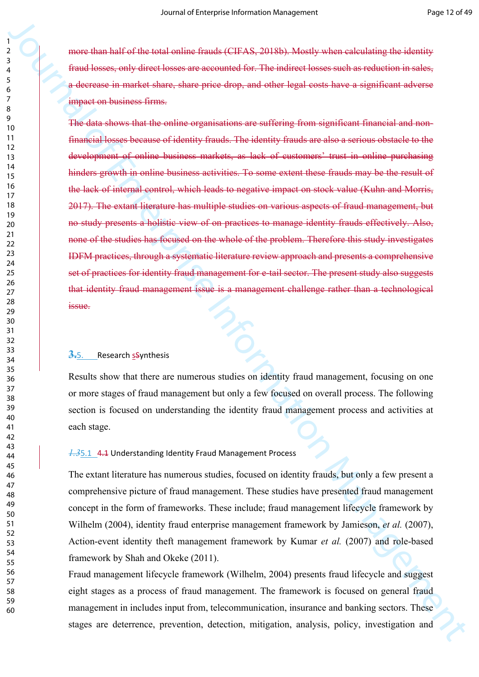more than half of the total online frauds (CIFAS, 2018b). Mostly when calculating the identity fraud losses, only direct losses are accounted for. The indirect losses such as reduction in sales, a decrease in market share, share price drop, and other legal costs have a significant adverse impact on business firms.

For the independent of the training of the manufold of the simulation of the studies of the studies of the studies of the studies of the studies of the studies of the studies of the studies of the studies of the studies o The data shows that the online organisations are suffering from significant financial and nonfinancial losses because of identity frauds. The identity frauds are also a serious obstacle to the development of online business markets, as lack of customers' trust in online purchasing hinders growth in online business activities. To some extent these frauds may be the result of the lack of internal control, which leads to negative impact on stock value (Kuhn and Morris, 2017). The extant literature has multiple studies on various aspects of fraud management, but no study presents a holistic view of on practices to manage identity frauds effectively. Also, none of the studies has focused on the whole of the problem. Therefore this study investigates IDFM practices, through a systematic literature review approach and presents a comprehensive set of practices for identity fraud management for e-tail sector. The present study also suggests that identity fraud management issue is a management challenge rather than a technological issue.

#### **3.**5. Research sSynthesis

Results show that there are numerous studies on identity fraud management, focusing on one or more stages of fraud management but only a few focused on overall process. The following section is focused on understanding the identity fraud management process and activities at each stage.

#### *1.3*5.1 4.1 Understanding Identity Fraud Management Process

The extant literature has numerous studies, focused on identity frauds, but only a few present a comprehensive picture of fraud management. These studies have presented fraud management concept in the form of frameworks. These include; fraud management lifecycle framework by Wilhelm (2004), identity fraud enterprise management framework by Jamieson, *et al.* (2007), Action-event identity theft management framework by Kumar *et al.* (2007) and role-based framework by Shah and Okeke (2011).

Fraud management lifecycle framework (Wilhelm, 2004) presents fraud lifecycle and suggest eight stages as a process of fraud management. The framework is focused on general fraud management in includes input from, telecommunication, insurance and banking sectors. These stages are deterrence, prevention, detection, mitigation, analysis, policy, investigation and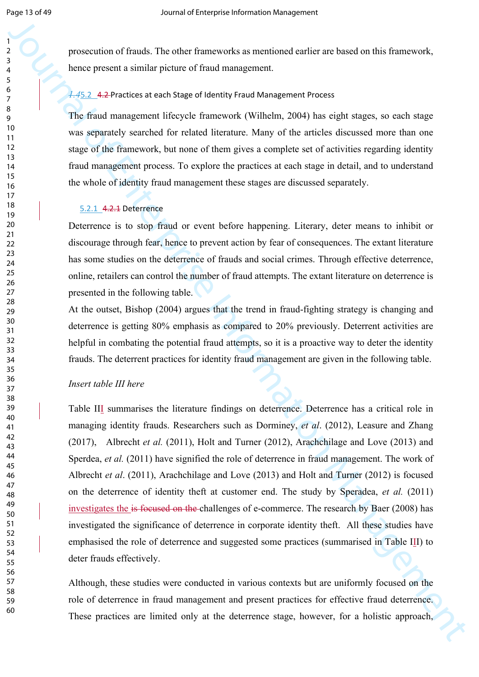prosecution of frauds. The other frameworks as mentioned earlier are based on this framework, hence present a similar picture of fraud management.

#### *1.4*5.2 4.2 Practices at each Stage of Identity Fraud Management Process

The fraud management lifecycle framework (Wilhelm, 2004) has eight stages, so each stage was separately searched for related literature. Many of the articles discussed more than one stage of the framework, but none of them gives a complete set of activities regarding identity fraud management process. To explore the practices at each stage in detail, and to understand the whole of identity fraud management these stages are discussed separately.

#### 5.2.1 4.2.1 Deterrence

Deterrence is to stop fraud or event before happening. Literary, deter means to inhibit or discourage through fear, hence to prevent action by fear of consequences. The extant literature has some studies on the deterrence of frauds and social crimes. Through effective deterrence, online, retailers can control the number of fraud attempts. The extant literature on deterrence is presented in the following table.

At the outset, Bishop (2004) argues that the trend in fraud-fighting strategy is changing and deterrence is getting 80% emphasis as compared to 20% previously. Deterrent activities are helpful in combating the potential fraud attempts, so it is a proactive way to deter the identity frauds. The deterrent practices for identity fraud management are given in the following table.

#### *Insert table III here*

**Example 20**<br> **Example 20**<br> **Example 20**<br> **Example 20**<br> **Example 20**<br> **Example 20**<br> **Example 20**<br> **Example 20**<br> **Example 20**<br> **Example 20**<br> **ITC. Example 20**<br> **ITC. Example 20**<br> **ITC. Example 20**<br> **ITC. Example 20** Table III summarises the literature findings on deterrence. Deterrence has a critical role in managing identity frauds. Researchers such as Dorminey, *et al*. (2012), Leasure and Zhang (2017), Albrecht *et al.* (2011), Holt and Turner (2012), Arachchilage and Love (2013) and Sperdea, *et al.* (2011) have signified the role of deterrence in fraud management. The work of Albrecht *et al*. (2011), Arachchilage and Love (2013) and Holt and Turner (2012) is focused on the deterrence of identity theft at customer end. The study by Speradea, *et al.* (2011) investigates the is focused on the challenges of e-commerce. The research by Baer (2008) has investigated the significance of deterrence in corporate identity theft. All these studies have emphasised the role of deterrence and suggested some practices (summarised in Table III) to deter frauds effectively.

Although, these studies were conducted in various contexts but are uniformly focused on the role of deterrence in fraud management and present practices for effective fraud deterrence. These practices are limited only at the deterrence stage, however, for a holistic approach,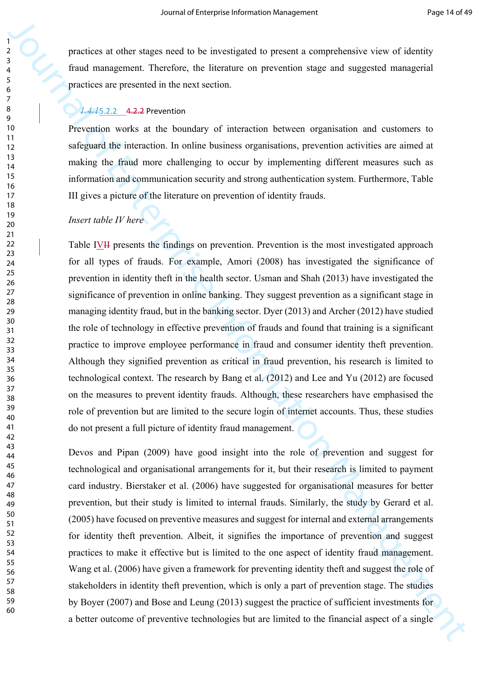practices at other stages need to be investigated to present a comprehensive view of identity fraud management. Therefore, the literature on prevention stage and suggested managerial practices are presented in the next section.

#### *1.4.1*5.2.2 4.2.2 Prevention

Prevention works at the boundary of interaction between organisation and customers to safeguard the interaction. In online business organisations, prevention activities are aimed at making the fraud more challenging to occur by implementing different measures such as information and communication security and strong authentication system. Furthermore, Table III gives a picture of the literature on prevention of identity frauds.

#### *Insert table IV here*

Procedures at other stagen tests in the measurement is interpretation and stages its and management (because the black the black of the stages and stages itsel and management (between the treat the black of the black of t Table IVII presents the findings on prevention. Prevention is the most investigated approach for all types of frauds. For example, Amori (2008) has investigated the significance of prevention in identity theft in the health sector. Usman and Shah (2013) have investigated the significance of prevention in online banking. They suggest prevention as a significant stage in managing identity fraud, but in the banking sector. Dyer (2013) and Archer (2012) have studied the role of technology in effective prevention of frauds and found that training is a significant practice to improve employee performance in fraud and consumer identity theft prevention. Although they signified prevention as critical in fraud prevention, his research is limited to technological context. The research by Bang et al. (2012) and Lee and Yu (2012) are focused on the measures to prevent identity frauds. Although, these researchers have emphasised the role of prevention but are limited to the secure login of internet accounts. Thus, these studies do not present a full picture of identity fraud management.

Devos and Pipan (2009) have good insight into the role of prevention and suggest for technological and organisational arrangements for it, but their research is limited to payment card industry. Bierstaker et al. (2006) have suggested for organisational measures for better prevention, but their study is limited to internal frauds. Similarly, the study by Gerard et al. (2005) have focused on preventive measures and suggest for internal and external arrangements for identity theft prevention. Albeit, it signifies the importance of prevention and suggest practices to make it effective but is limited to the one aspect of identity fraud management. Wang et al. (2006) have given a framework for preventing identity theft and suggest the role of stakeholders in identity theft prevention, which is only a part of prevention stage. The studies by Boyer (2007) and Bose and Leung (2013) suggest the practice of sufficient investments for a better outcome of preventive technologies but are limited to the financial aspect of a single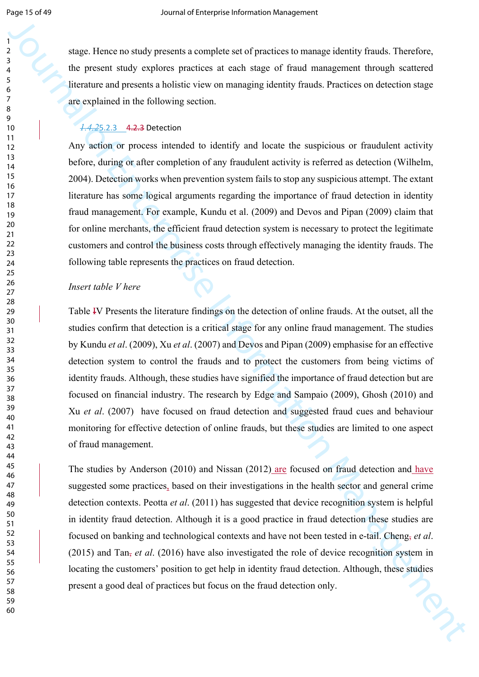stage. Hence no study presents a complete set of practices to manage identity frauds. Therefore, the present study explores practices at each stage of fraud management through scattered literature and presents a holistic view on managing identity frauds. Practices on detection stage are explained in the following section.

#### *1.4.2*5.2.3 4.2.3 Detection

Any action or process intended to identify and locate the suspicious or fraudulent activity before, during or after completion of any fraudulent activity is referred as detection (Wilhelm, 2004). Detection works when prevention system fails to stop any suspicious attempt. The extant literature has some logical arguments regarding the importance of fraud detection in identity fraud management. For example, Kundu et al. (2009) and Devos and Pipan (2009) claim that for online merchants, the efficient fraud detection system is necessary to protect the legitimate customers and control the business costs through effectively managing the identity frauds. The following table represents the practices on fraud detection.

#### *Insert table V here*

Journal of the state of the state of the state of the state of the state of the state of the state of the state of the state of the state of the state of the state of the state of the state of the state of the state of th Table IV Presents the literature findings on the detection of online frauds. At the outset, all the studies confirm that detection is a critical stage for any online fraud management. The studies by Kundu *et al*. (2009), Xu *et al*. (2007) and Devos and Pipan (2009) emphasise for an effective detection system to control the frauds and to protect the customers from being victims of identity frauds. Although, these studies have signified the importance of fraud detection but are focused on financial industry. The research by Edge and Sampaio (2009), Ghosh (2010) and Xu *et al*. (2007) have focused on fraud detection and suggested fraud cues and behaviour monitoring for effective detection of online frauds, but these studies are limited to one aspect of fraud management.

The studies by Anderson (2010) and Nissan (2012) are focused on fraud detection and have suggested some practices, based on their investigations in the health sector and general crime detection contexts. Peotta *et al*. (2011) has suggested that device recognition system is helpful in identity fraud detection. Although it is a good practice in fraud detection these studies are focused on banking and technological contexts and have not been tested in e-tail. Cheng, *et al*. (2015) and Tan, *et al*. (2016) have also investigated the role of device recognition system in locating the customers' position to get help in identity fraud detection. Although, these studies present a good deal of practices but focus on the fraud detection only.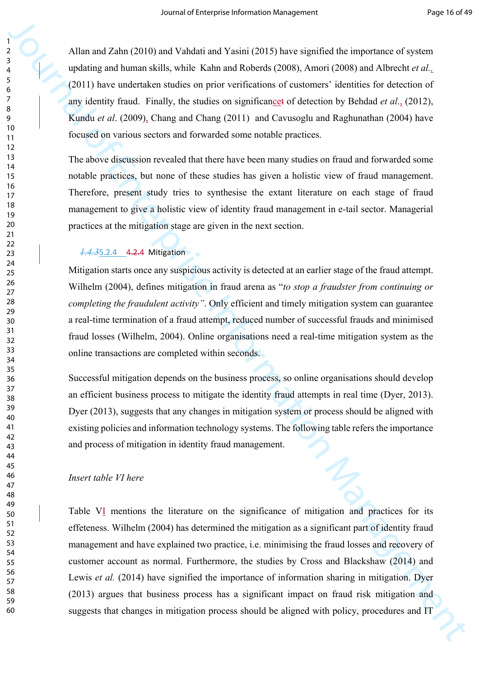Allan and Zahn (2010) and Vahdati and Yasini (2015) have signified the importance of system updating and human skills, while Kahn and Roberds (2008), Amori (2008) and Albrecht *et al.,* (2011) have undertaken studies on prior verifications of customers' identities for detection of any identity fraud. Finally, the studies on significancet of detection by Behdad *et al*., (2012), Kundu *et al*. (2009), Chang and Chang (2011) and Cavusoglu and Raghunathan (2004) have focused on various sectors and forwarded some notable practices.

The above discussion revealed that there have been many studies on fraud and forwarded some notable practices, but none of these studies has given a holistic view of fraud management. Therefore, present study tries to synthesise the extant literature on each stage of fraud management to give a holistic view of identity fraud management in e-tail sector. Managerial practices at the mitigation stage are given in the next section.

#### *1.4.3*5.2.4 4.2.4 Mitigation

Mitigation starts once any suspicious activity is detected at an earlier stage of the fraud attempt. Wilhelm (2004), defines mitigation in fraud arena as "*to stop a fraudster from continuing or completing the fraudulent activity"*. Only efficient and timely mitigation system can guarantee a real-time termination of a fraud attempt, reduced number of successful frauds and minimised fraud losses (Wilhelm, 2004). Online organisations need a real-time mitigation system as the online transactions are completed within seconds.

Successful mitigation depends on the business process, so online organisations should develop an efficient business process to mitigate the identity fraud attempts in real time (Dyer, 2013). Dyer (2013), suggests that any changes in mitigation system or process should be aligned with existing policies and information technology systems. The following table refers the importance and process of mitigation in identity fraud management.

#### *Insert table VI here*

Alter and Zshri (2010) and Vabdan and Y sensit (2013) have signified the importance of system<br>
qubiting and homen skills, which Kahn and Robuch (2008). Amoni (2008) and Altechet et at,<br>
(2011) have understoon enterprise I Table VI mentions the literature on the significance of mitigation and practices for its effeteness. Wilhelm (2004) has determined the mitigation as a significant part of identity fraud management and have explained two practice, i.e. minimising the fraud losses and recovery of customer account as normal. Furthermore, the studies by Cross and Blackshaw (2014) and Lewis *et al.* (2014) have signified the importance of information sharing in mitigation. Dyer (2013) argues that business process has a significant impact on fraud risk mitigation and suggests that changes in mitigation process should be aligned with policy, procedures and IT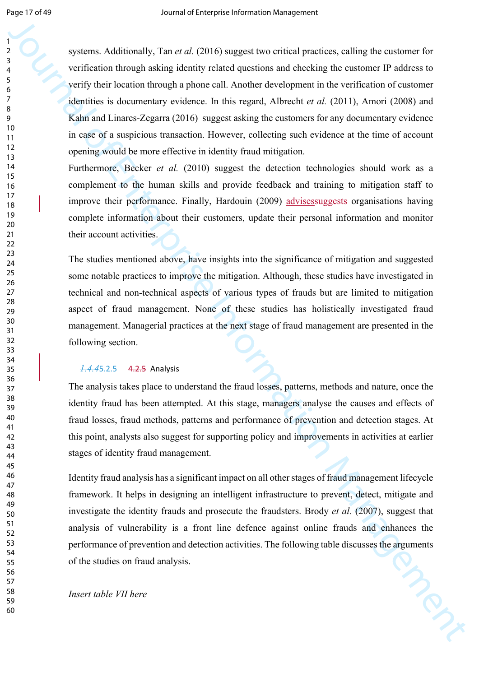by systems. Additionally, that et al. (2016) suggest low-trived process, calling the canonic FP solution of the system of the system of the system of the system of the system of the system of the system of the system of t systems. Additionally, Tan *et al.* (2016) suggest two critical practices, calling the customer for verification through asking identity related questions and checking the customer IP address to verify their location through a phone call. Another development in the verification of customer identities is documentary evidence. In this regard, Albrecht *et al.* (2011), Amori (2008) and Kahn and Linares-Zegarra (2016) suggest asking the customers for any documentary evidence in case of a suspicious transaction. However, collecting such evidence at the time of account opening would be more effective in identity fraud mitigation.

Furthermore, Becker *et al.* (2010) suggest the detection technologies should work as a complement to the human skills and provide feedback and training to mitigation staff to improve their performance. Finally, Hardouin (2009) advises suggests organisations having complete information about their customers, update their personal information and monitor their account activities.

The studies mentioned above, have insights into the significance of mitigation and suggested some notable practices to improve the mitigation. Although, these studies have investigated in technical and non-technical aspects of various types of frauds but are limited to mitigation aspect of fraud management. None of these studies has holistically investigated fraud management. Managerial practices at the next stage of fraud management are presented in the following section.

#### *1.4.4*5.2.5 4.2.5 Analysis

The analysis takes place to understand the fraud losses, patterns, methods and nature, once the identity fraud has been attempted. At this stage, managers analyse the causes and effects of fraud losses, fraud methods, patterns and performance of prevention and detection stages. At this point, analysts also suggest for supporting policy and improvements in activities at earlier stages of identity fraud management.

Identity fraud analysis has a significant impact on all other stages of fraud management lifecycle framework. It helps in designing an intelligent infrastructure to prevent, detect, mitigate and investigate the identity frauds and prosecute the fraudsters. Brody *et al.* (2007), suggest that analysis of vulnerability is a front line defence against online frauds and enhances the performance of prevention and detection activities. The following table discusses the arguments of the studies on fraud analysis.

*Insert table VII here*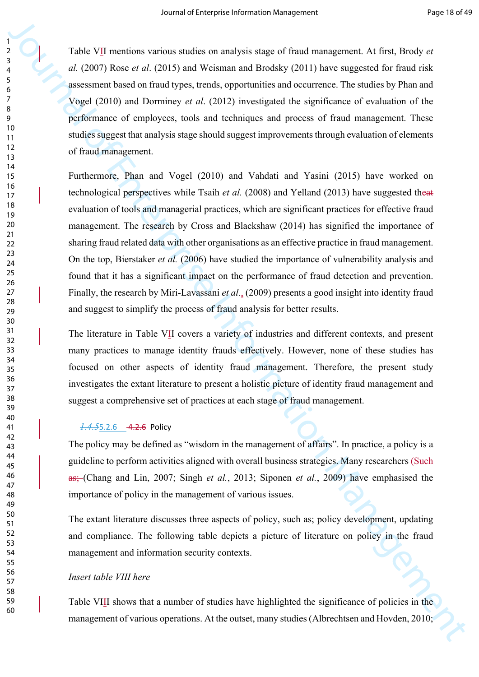Table VII mentions various studies on analysis stage of fraud management. At first, Brody *et al.* (2007) Rose *et al*. (2015) and Weisman and Brodsky (2011) have suggested for fraud risk assessment based on fraud types, trends, opportunities and occurrence. The studies by Phan and Vogel (2010) and Dorminey *et al*. (2012) investigated the significance of evaluation of the performance of employees, tools and techniques and process of fraud management. These studies suggest that analysis stage should suggest improvements through evaluation of elements of fraud management.

*First VII* mentions variation in analysis stage of Firal transported A find, those  $\mu$ . COO) Rose et al. (2013) and Woshman and Hookity (2011) have suggested for final risk<br>
assessment listed at ritual types, bonds, ap Furthermore, Phan and Vogel (2010) and Vahdati and Yasini (2015) have worked on technological perspectives while Tsaih *et al.* (2008) and Yelland (2013) have suggested theat evaluation of tools and managerial practices, which are significant practices for effective fraud management. The research by Cross and Blackshaw (2014) has signified the importance of sharing fraud related data with other organisations as an effective practice in fraud management. On the top, Bierstaker *et al.* (2006) have studied the importance of vulnerability analysis and found that it has a significant impact on the performance of fraud detection and prevention. Finally, the research by Miri-Lavassani *et al*., (2009) presents a good insight into identity fraud and suggest to simplify the process of fraud analysis for better results.

The literature in Table VII covers a variety of industries and different contexts, and present many practices to manage identity frauds effectively. However, none of these studies has focused on other aspects of identity fraud management. Therefore, the present study investigates the extant literature to present a holistic picture of identity fraud management and suggest a comprehensive set of practices at each stage of fraud management.

#### *1.4.5*5.2.6 4.2.6 Policy

The policy may be defined as "wisdom in the management of affairs". In practice, a policy is a guideline to perform activities aligned with overall business strategies. Many researchers (Such as; (Chang and Lin, 2007; Singh *et al.*, 2013; Siponen *et al.*, 2009) have emphasised the importance of policy in the management of various issues.

The extant literature discusses three aspects of policy, such as; policy development, updating and compliance. The following table depicts a picture of literature on policy in the fraud management and information security contexts.

#### *Insert table VIII here*

Table VIII shows that a number of studies have highlighted the significance of policies in the management of various operations. At the outset, many studies (Albrechtsen and Hovden, 2010;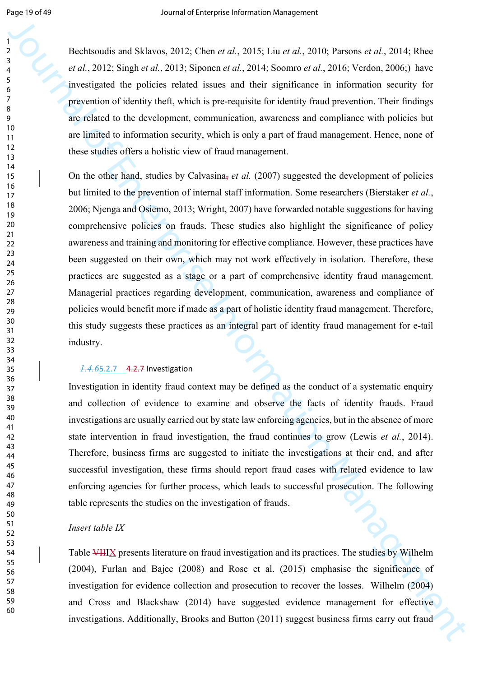Bechtsoudis and Sklavos, 2012; Chen *et al.*, 2015; Liu *et al.*, 2010; Parsons *et al.*, 2014; Rhee *et al.*, 2012; Singh *et al.*, 2013; Siponen *et al.*, 2014; Soomro *et al.*, 2016; Verdon, 2006;) have investigated the policies related issues and their significance in information security for prevention of identity theft, which is pre-requisite for identity fraud prevention. Their findings are related to the development, communication, awareness and compliance with policies but are limited to information security, which is only a part of fraud management. Hence, none of these studies offers a holistic view of fraud management.

Hecharaulis and Shlaves, 2012, Clume at al. 2013, Hau et al., 2010, Paramonia at 2013, Ries et al., 2014, Sources at 2014, Sources at 2014, Sources at 2014, Sources at 2014, Sources at 2014, Sources and Star significance On the other hand, studies by Calvasina, *et al.* (2007) suggested the development of policies but limited to the prevention of internal staff information. Some researchers (Bierstaker *et al.*, 2006; Njenga and Osiemo, 2013; Wright, 2007) have forwarded notable suggestions for having comprehensive policies on frauds. These studies also highlight the significance of policy awareness and training and monitoring for effective compliance. However, these practices have been suggested on their own, which may not work effectively in isolation. Therefore, these practices are suggested as a stage or a part of comprehensive identity fraud management. Managerial practices regarding development, communication, awareness and compliance of policies would benefit more if made as a part of holistic identity fraud management. Therefore, this study suggests these practices as an integral part of identity fraud management for e-tail industry.

#### *1.4.6*5.2.7 4.2.7 Investigation

Investigation in identity fraud context may be defined as the conduct of a systematic enquiry and collection of evidence to examine and observe the facts of identity frauds. Fraud investigations are usually carried out by state law enforcing agencies, but in the absence of more state intervention in fraud investigation, the fraud continues to grow (Lewis *et al.*, 2014). Therefore, business firms are suggested to initiate the investigations at their end, and after successful investigation, these firms should report fraud cases with related evidence to law enforcing agencies for further process, which leads to successful prosecution. The following table represents the studies on the investigation of frauds.

#### *Insert table IX*

Table VIIIX presents literature on fraud investigation and its practices. The studies by Wilhelm (2004), Furlan and Bajec (2008) and Rose et al. (2015) emphasise the significance of investigation for evidence collection and prosecution to recover the losses. Wilhelm (2004) and Cross and Blackshaw (2014) have suggested evidence management for effective investigations. Additionally, Brooks and Button (2011) suggest business firms carry out fraud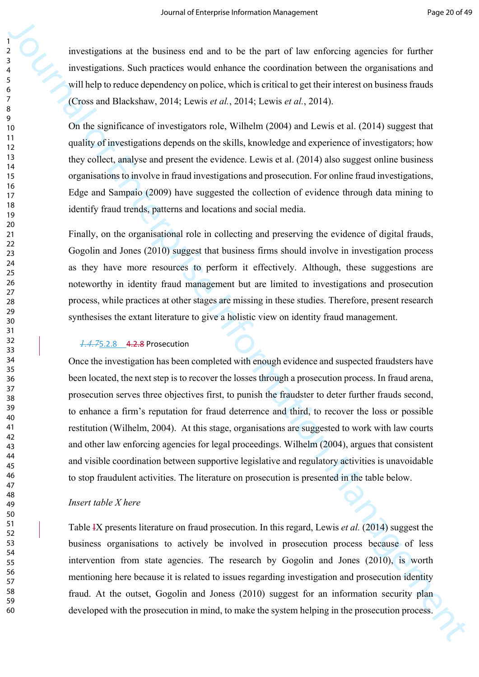investigations at the business end and to be the part of law enforcing agencies for further investigations. Such practices would enhance the coordination between the organisations and will help to reduce dependency on police, which is critical to get their interest on business frauds (Cross and Blackshaw, 2014; Lewis *et al.*, 2014; Lewis *et al.*, 2014).

On the significance of investigators role, Wilhelm (2004) and Lewis et al. (2014) suggest that quality of investigations depends on the skills, knowledge and experience of investigators; how they collect, analyse and present the evidence. Lewis et al. (2014) also suggest online business organisations to involve in fraud investigations and prosecution. For online fraud investigations, Edge and Sampaio (2009) have suggested the collection of evidence through data mining to identify fraud trends, patterns and locations and social media.

Finally, on the organisational role in collecting and preserving the evidence of digital frauds, Gogolin and Jones (2010) suggest that business firms should involve in investigation process as they have more resources to perform it effectively. Although, these suggestions are noteworthy in identity fraud management but are limited to investigations and prosecution process, while practices at other stages are missing in these studies. Therefore, present research synthesises the extant literature to give a holistic view on identity fraud management.

#### *1.4.7*5.2.8 4.2.8 Prosecution

Journal of the business and and lattice by ratio finds on formation and the set of the proposition and proposition and proposition and  $\frac{1}{2}$  investigations Note (the proposition Management of the set of the set of the Once the investigation has been completed with enough evidence and suspected fraudsters have been located, the next step is to recover the losses through a prosecution process. In fraud arena, prosecution serves three objectives first, to punish the fraudster to deter further frauds second, to enhance a firm's reputation for fraud deterrence and third, to recover the loss or possible restitution (Wilhelm, 2004). At this stage, organisations are suggested to work with law courts and other law enforcing agencies for legal proceedings. Wilhelm (2004), argues that consistent and visible coordination between supportive legislative and regulatory activities is unavoidable to stop fraudulent activities. The literature on prosecution is presented in the table below.

#### *Insert table X here*

Table IX presents literature on fraud prosecution. In this regard, Lewis *et al.* (2014) suggest the business organisations to actively be involved in prosecution process because of less intervention from state agencies. The research by Gogolin and Jones (2010), is worth mentioning here because it is related to issues regarding investigation and prosecution identity fraud. At the outset, Gogolin and Joness (2010) suggest for an information security plan developed with the prosecution in mind, to make the system helping in the prosecution process.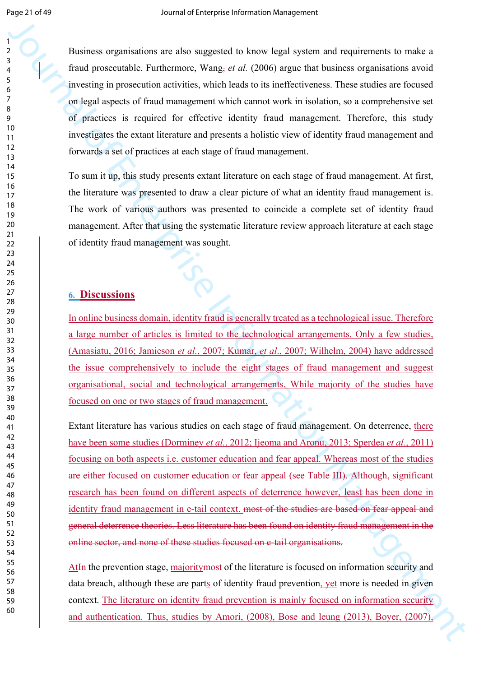Business organisations are also suggested to know legal system and requirements to make a fraud prosecutable. Furthermore, Wang, *et al.* (2006) argue that business organisations avoid investing in prosecution activities, which leads to its ineffectiveness. These studies are focused on legal aspects of fraud management which cannot work in isolation, so a comprehensive set of practices is required for effective identity fraud management. Therefore, this study investigates the extant literature and presents a holistic view of identity fraud management and forwards a set of practices at each stage of fraud management.

To sum it up, this study presents extant literature on each stage of fraud management. At first, the literature was presented to draw a clear picture of what an identity fraud management is. The work of various authors was presented to coincide a complete set of identity fraud management. After that using the systematic literature review approach literature at each stage of identity fraud management was sought.

#### **6. Discussions**

In online business domain, identity fraud is generally treated as a technological issue. Therefore a large number of articles is limited to the technological arrangements. Only a few studies, (Amasiatu, 2016; Jamieson *et al.*, 2007; Kumar, *et al*., 2007; Wilhelm, 2004) have addressed the issue comprehensively to include the eight stages of fraud management and suggest organisational, social and technological arrangements. While majority of the studies have focused on one or two stages of fraud management.

However, and the mean state suggested to be<br>not legal system and requirements to reache and the state and the state<br>of the procedure of the mean state is a state of the mean system in the state of the state<br>of the state i Extant literature has various studies on each stage of fraud management. On deterrence, there have been some studies (Dorminey *et al.*, 2012; Ijeoma and Aronu, 2013; Sperdea *et al.*, 2011) focusing on both aspects i.e. customer education and fear appeal. Whereas most of the studies are either focused on customer education or fear appeal (see Table III). Although, significant research has been found on different aspects of deterrence however, least has been done in identity fraud management in e-tail context. most of the studies are based on fear appeal and general deterrence theories. Less literature has been found on identity fraud management in the online sector, and none of these studies focused on e-tail organisations.

AtIn the prevention stage, majoritymost of the literature is focused on information security and data breach, although these are parts of identity fraud prevention, yet more is needed in given context. The literature on identity fraud prevention is mainly focused on information security and authentication. Thus, studies by Amori, (2008), Bose and leung (2013), Boyer, (2007),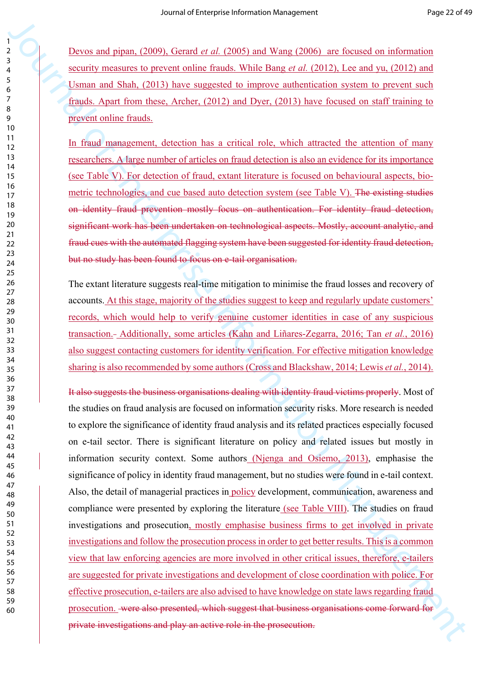Devos and pipan, (2009), Gerard *et al.* (2005) and Wang (2006) are focused on information security measures to prevent online frauds. While Bang *et al.* (2012), Lee and yu, (2012) and Usman and Shah, (2013) have suggested to improve authentication system to prevent such frauds. Apart from these, Archer, (2012) and Dyer, (2013) have focused on staff training to prevent online frauds.

In fraud management, detection has a critical role, which attracted the attention of many researchers. A large number of articles on fraud detection is also an evidence for its importance (see Table V). For detection of fraud, extant literature is focused on behavioural aspects, biometric technologies, and cue based auto detection system (see Table V). The existing studies on identity fraud prevention mostly focus on authentication. For identity fraud detection, significant work has been undertaken on technological aspects. Mostly, account analytic, and fraud cues with the automated flagging system have been suggested for identity fraud detection, but no study has been found to focus on e-tail organisation.

The extant literature suggests real-time mitigation to minimise the fraud losses and recovery of accounts. At this stage, majority of the studies suggest to keep and regularly update customers' records, which would help to verify genuine customer identities in case of any suspicious transaction. Additionally, some articles (Kahn and Liñares-Zegarra, 2016; Tan *et al.*, 2016) also suggest contacting customers for identity verification. For effective mitigation knowledge sharing is also recommended by some authors (Cross and Blackshaw, 2014; Lewis *et al.*, 2014).

Denotes and many (2009), formal or all 2005) and Ware (2006), are denoted or information exactly measured to meet the formation Management Control in the sequence of the sequence of the sequence of the sequence of the seq It also suggests the business organisations dealing with identity fraud victims properly. Most of the studies on fraud analysis are focused on information security risks. More research is needed to explore the significance of identity fraud analysis and its related practices especially focused on e-tail sector. There is significant literature on policy and related issues but mostly in information security context. Some authors (Njenga and Osiemo, 2013), emphasise the significance of policy in identity fraud management, but no studies were found in e-tail context. Also, the detail of managerial practices in policy development, communication, awareness and compliance were presented by exploring the literature (see Table VIII). The studies on fraud investigations and prosecution, mostly emphasise business firms to get involved in private investigations and follow the prosecution process in order to get better results. This is a common view that law enforcing agencies are more involved in other critical issues, therefore, e-tailers are suggested for private investigations and development of close coordination with police. For effective prosecution, e-tailers are also advised to have knowledge on state laws regarding fraud prosecution. were also presented, which suggest that business organisations come forward for private investigations and play an active role in the prosecution.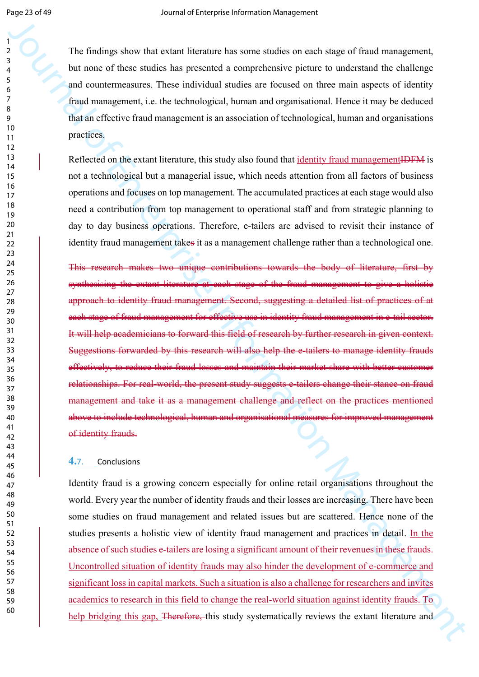The findings show that extant literature has some studies on each stage of fraud management, but none of these studies has presented a comprehensive picture to understand the challenge and countermeasures. These individual studies are focused on three main aspects of identity fraud management, i.e. the technological, human and organisational. Hence it may be deduced that an effective fraud management is an association of technological, human and organisations practices.

Reflected on the extant literature, this study also found that identity fraud managementIDFM is not a technological but a managerial issue, which needs attention from all factors of business operations and focuses on top management. The accumulated practices at each stage would also need a contribution from top management to operational staff and from strategic planning to day to day business operations. Therefore, e-tailers are advised to revisit their instance of identity fraud management takes it as a management challenge rather than a technological one.

The initial geobes that exists the same statistics on each stage of final management,<br>
but now of these statistics in processed a compedientic picture to material the children<br>
and constraints and the relation Management This research makes two unique contributions towards the body of literature, first by synthesising the extant literature at each stage of the fraud management to give a holistic approach to identity fraud management. Second, suggesting a detailed list of practices of at each stage of fraud management for effective use in identity fraud management in e-tail sector. It will help academicians to forward this field of research by further research in given context. Suggestions forwarded by this research will also help the e-tailers to manage identity frauds effectively, to reduce their fraud losses and maintain their market share with better customer relationships. For real-world, the present study suggests e-tailers change their stance on fraud management and take it as a management challenge and reflect on the practices mentioned above to include technological, human and organisational measures for improved management of identity frauds.

#### **4.**7. Conclusions

Identity fraud is a growing concern especially for online retail organisations throughout the world. Every year the number of identity frauds and their losses are increasing. There have been some studies on fraud management and related issues but are scattered. Hence none of the studies presents a holistic view of identity fraud management and practices in detail. In the absence of such studies e-tailers are losing a significant amount of their revenues in these frauds. Uncontrolled situation of identity frauds may also hinder the development of e-commerce and significant loss in capital markets. Such a situation is also a challenge for researchers and invites academics to research in this field to change the real-world situation against identity frauds. To help bridging this gap, <del>Therefore, t</del>his study systematically reviews the extant literature and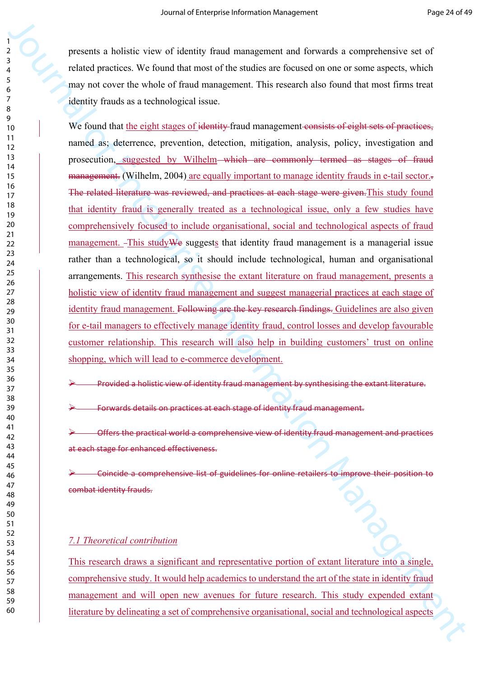presents a holistic view of identity fraud management and forwards a comprehensive set of related practices. We found that most of the studies are focused on one or some aspects, which may not cover the whole of fraud management. This research also found that most firms treat identity frauds as a technological issue.

Proceeds a hotels: vece of videota) frand management and forwards comprehensive and f<br>claud proceds. We found that most of the studies are focused on one or some aspects, which<br>may not every the solid of frand management. We found that the eight stages of identity-fraud management consists of eight sets of practices, named as; deterrence, prevention, detection, mitigation, analysis, policy, investigation and prosecution, suggested by Wilhelm–which are commonly termed as stages of fraud management. (Wilhelm, 2004) are equally important to manage identity frauds in e-tail sector... The related literature was reviewed, and practices at each stage were given. This study found that identity fraud is generally treated as a technological issue, only a few studies have comprehensively focused to include organisational, social and technological aspects of fraud management. This study We suggests that identity fraud management is a managerial issue rather than a technological, so it should include technological, human and organisational arrangements. This research synthesise the extant literature on fraud management, presents a holistic view of identity fraud management and suggest managerial practices at each stage of identity fraud management. Following are the key research findings. Guidelines are also given for e-tail managers to effectively manage identity fraud, control losses and develop favourable customer relationship. This research will also help in building customers' trust on online shopping, which will lead to e-commerce development.

Provided a holistic view of identity fraud management by synthesising the extant literature.

Forwards details on practices at each stage of identity fraud management.

 Offers the practical world a comprehensive view of identity fraud management and practices at each stage for enhanced effectiveness.

 Coincide a comprehensive list of guidelines for online retailers to improve their position to combat identity frauds.

#### *7.1 Theoretical contribution*

This research draws a significant and representative portion of extant literature into a single, comprehensive study. It would help academics to understand the art of the state in identity fraud management and will open new avenues for future research. This study expended extant literature by delineating a set of comprehensive organisational, social and technological aspects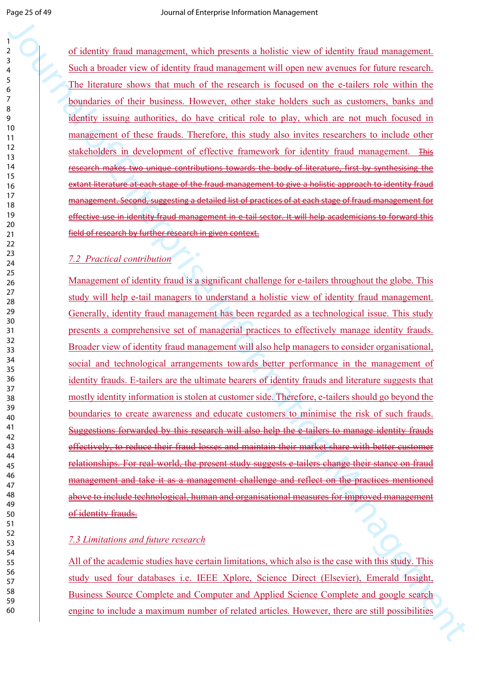of identity fraud management, which presents a holistic view of identity fraud management. Such a broader view of identity fraud management will open new avenues for future research. The literature shows that much of the research is focused on the e-tailers role within the boundaries of their business. However, other stake holders such as customers, banks and identity issuing authorities, do have critical role to play, which are not much focused in management of these frauds. Therefore, this study also invites researchers to include other stakeholders in development of effective framework for identity fraud management. This research makes two unique contributions towards the body of literature, first by synthesising the extant literature at each stage of the fraud management to give a holistic approach to identity fraud management. Second, suggesting a detailed list of practices of at each stage of fraud management for effective use in identity fraud management in e-tail sector. It will help academicians to forward this field of research by further research in given context.

#### *7.2 Practical contribution*

The state is to maximize the state of the state of the state of the state of the state of the state of the state of the state of the state of the state of the state of the state of the state of the state of the state of t Management of identity fraud is a significant challenge for e-tailers throughout the globe. This study will help e-tail managers to understand a holistic view of identity fraud management. Generally, identity fraud management has been regarded as a technological issue. This study presents a comprehensive set of managerial practices to effectively manage identity frauds. Broader view of identity fraud management will also help managers to consider organisational, social and technological arrangements towards better performance in the management of identity frauds. E-tailers are the ultimate bearers of identity frauds and literature suggests that mostly identity information is stolen at customer side. Therefore, e-tailers should go beyond the boundaries to create awareness and educate customers to minimise the risk of such frauds. Suggestions forwarded by this research will also help the e-tailers to manage identity frauds effectively, to reduce their fraud losses and maintain their market share with better customer relationships. For real-world, the present study suggests e-tailers change their stance on fraud management and take it as a management challenge and reflect on the practices mentioned above to include technological, human and organisational measures for improved management of identity frauds.

#### *7.3 Limitations and future research*

All of the academic studies have certain limitations, which also is the case with this study. This study used four databases i.e. IEEE Xplore, Science Direct (Elsevier), Emerald Insight, Business Source Complete and Computer and Applied Science Complete and google search engine to include a maximum number of related articles. However, there are still possibilities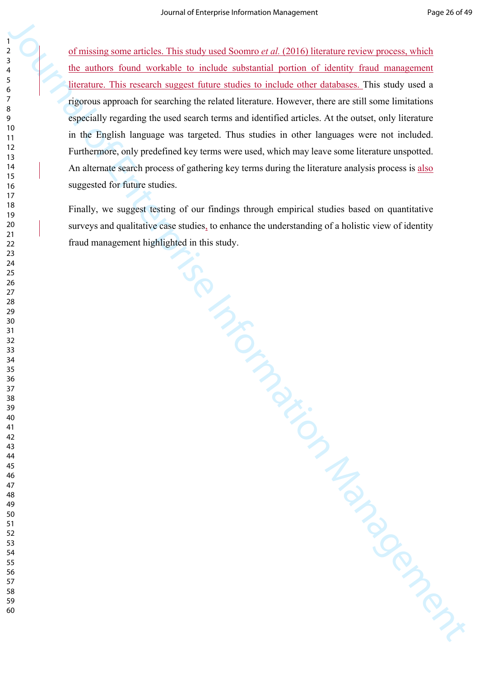of missing some articles. This study used Soomro *et al.* (2016) literature review process, which the authors found workable to include substantial portion of identity fraud management literature. This research suggest future studies to include other databases. This study used a rigorous approach for searching the related literature. However, there are still some limitations especially regarding the used search terms and identified articles. At the outset, only literature in the English language was targeted. Thus studies in other languages were not included. Furthermore, only predefined key terms were used, which may leave some literature unspotted. An alternate search process of gathering key terms during the literature analysis process is also suggested for future studies.

Is the specific Reserved on the specified served on the specified on the specified on the company of the company of the company of the company of the company of the company of the company of the company of the company of t Finally, we suggest testing of our findings through empirical studies based on quantitative surveys and qualitative case studies, to enhance the understanding of a holistic view of identity fraud management highlighted in this study.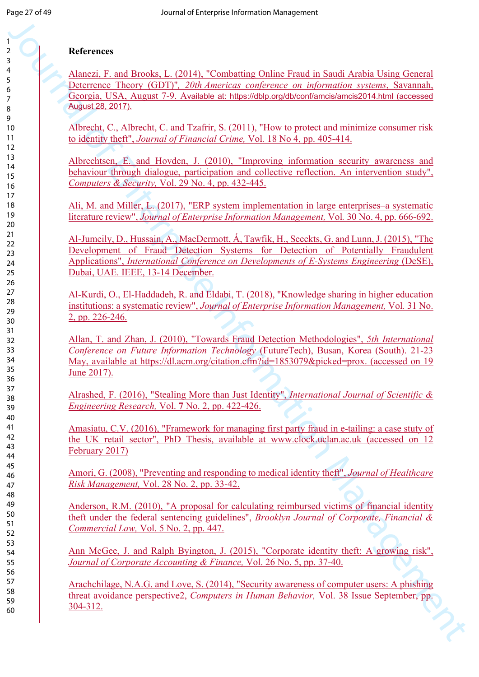#### **References**

Alanezi, F. and Brooks, L. (2014), "Combatting Online Fraud in Saudi Arabia Using General Deterrence Theory (GDT)"*, 20th Americas conference on information systems*, Savannah, Georgia, USA, August 7-9. Available at: https://dblp.org/db/conf/amcis/amcis2014.html (accessed August 28, 2017).

Albrecht, C., Albrecht, C. and Tzafrir, S. (2011), "How to protect and minimize consumer risk to identity theft", *Journal of Financial Crime,* Vol*.* 18 No 4, pp. 405-414.

Albrechtsen, E. and Hovden, J. (2010), "Improving information security awareness and behaviour through dialogue, participation and collective reflection. An intervention study", *Computers & Security,* Vol. 29 No. 4, pp. 432-445.

Ali, M. and Miller, L. (2017), "ERP system implementation in large enterprises–a systematic literature review", *Journal of Enterprise Information Management,* Vol*.* 30 No. 4, pp. 666-692.

Herene, and Interpretation (1991). The matter of the Final in Stard Anthul blank General Management Antonio (1997). 260 Antonio (1997). 260 Antonio (1997). 260 Antonio (1997). 260 Antonio (1997). 260 Antonio (1997). 260 A Al-Jumeily, D., Hussain, A., MacDermott, Á, Tawfik, H., Seeckts, G. and Lunn, J. (2015), "The Development of Fraud Detection Systems for Detection of Potentially Fraudulent Applications", *International Conference on Developments of E-Systems Engineering* (DeSE), Dubai, UAE. IEEE, 13-14 December.

Al-Kurdi, O., El-Haddadeh, R. and Eldabi, T. (2018), "Knowledge sharing in higher education institutions: a systematic review", *Journal of Enterprise Information Management,* Vol*.* 31 No. 2, pp. 226-246.

Allan, T. and Zhan, J. (2010), "Towards Fraud Detection Methodologies", *5th International Conference on Future Information Technology* (FutureTech), Busan, Korea (South). 21-23 May, available at https://dl.acm.org/citation.cfm?id=1853079&picked=prox. (accessed on 19 June 2017).

Alrashed, F. (2016), "Stealing More than Just Identity", *International Journal of Scientific & Engineering Research,* Vol. **7** No. 2, pp. 422-426.

Amasiatu, C.V. (2016), "Framework for managing first party fraud in e-tailing: a case stuty of the UK retail sector", PhD Thesis, available at www.clock.uclan.ac.uk (accessed on 12 February 2017)

Amori, G. (2008), "Preventing and responding to medical identity theft", *Journal of Healthcare Risk Management,* Vol. 28 No. 2, pp. 33-42.

Anderson, R.M. (2010), "A proposal for calculating reimbursed victims of financial identity theft under the federal sentencing guidelines", *Brooklyn Journal of Corporate, Financial & Commercial Law,* Vol. 5 No. 2, pp. 447.

Ann McGee, J. and Ralph Byington, J. (2015), "Corporate identity theft: A growing risk", *Journal of Corporate Accounting & Finance,* Vol. 26 No. 5, pp. 37-40.

Arachchilage, N.A.G. and Love, S. (2014), "Security awareness of computer users: A phishing threat avoidance perspective2, *Computers in Human Behavior,* Vol. 38 Issue September, pp. 304-312.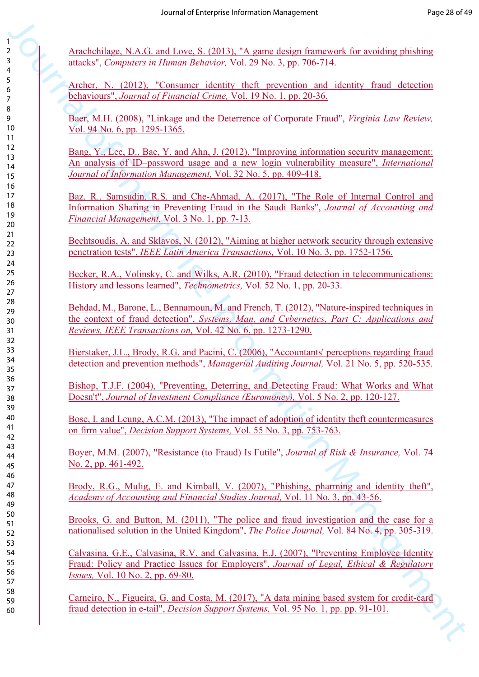Arachchilage, N.A.G. and Love, S. (2013), "A game design framework for avoiding phishing attacks", *Computers in Human Behavior,* Vol. 29 No. 3, pp. 706-714.

Archer, N. (2012), "Consumer identity theft prevention and identity fraud detection behaviours", *Journal of Financial Crime,* Vol. 19 No. 1, pp. 20-36.

Baer, M.H. (2008), "Linkage and the Deterrence of Corporate Fraud", *Virginia Law Review,*  Vol. 94 No. 6, pp. 1295-1365.

Bang, Y., Lee, D., Bae, Y. and Ahn, J. (2012), "Improving information security management: An analysis of ID–password usage and a new login vulnerability measure", *International Journal of Information Management,* Vol. 32 No. 5, pp. 409-418.

Baz, R., Samsudin, R.S. and Che-Ahmad, A. (2017), "The Role of Internal Control and Information Sharing in Preventing Fraud in the Saudi Banks", *Journal of Accounting and Financial Management,* Vol. 3 No. 1, pp. 7-13.

Bechtsoudis, A. and Sklavos, N. (2012), "Aiming at higher network security through extensive penetration tests", *IEEE Latin America Transactions,* Vol. 10 No. 3, pp. 1752-1756.

Becker, R.A., Volinsky, C. and Wilks, A.R. (2010), "Fraud detection in telecommunications: History and lessons learned", *Technometrics,* Vol. 52 No. 1, pp. 20-33.

3<br>
2.  $\Delta$  Anchelinge NA (1 and 1 ave N (2011). "A game is each functor", for avoidag a studier, Computers is Human Belavity. (50, 30, 5, 76, 76-14.<br>
2. Anchel Northern, Learning and Source Management and actual increasio Behdad, M., Barone, L., Bennamoun, M. and French, T. (2012), "Nature-inspired techniques in the context of fraud detection", *Systems, Man, and Cybernetics, Part C: Applications and Reviews, IEEE Transactions on,* Vol. 42 No. 6, pp. 1273-1290.

Bierstaker, J.L., Brody, R.G. and Pacini, C. (2006), "Accountants' perceptions regarding fraud detection and prevention methods", *Managerial Auditing Journal,* Vol. 21 No. 5, pp. 520-535.

Bishop, T.J.F. (2004), "Preventing, Deterring, and Detecting Fraud: What Works and What Doesn't", *Journal of Investment Compliance (Euromoney),* Vol. 5 No. 2, pp. 120-127.

Bose, I. and Leung, A.C.M. (2013), "The impact of adoption of identity theft countermeasures on firm value", *Decision Support Systems,* Vol. 55 No. 3, pp. 753-763.

Boyer, M.M. (2007), "Resistance (to Fraud) Is Futile", *Journal of Risk & Insurance,* Vol. 74 No. 2, pp. 461-492.

Brody, R.G., Mulig, E. and Kimball, V. (2007), "Phishing, pharming and identity theft", *Academy of Accounting and Financial Studies Journal,* Vol. 11 No. 3, pp. 43-56.

Brooks, G. and Button, M. (2011), "The police and fraud investigation and the case for a nationalised solution in the United Kingdom", *The Police Journal,* Vol*.* 84 No. 4, pp. 305-319.

Calvasina, G.E., Calvasina, R.V. and Calvasina, E.J. (2007), "Preventing Employee Identity Fraud: Policy and Practice Issues for Employers", *Journal of Legal, Ethical & Regulatory Issues,* Vol. 10 No. 2, pp. 69-80.

Carneiro, N., Figueira, G. and Costa, M. (2017), "A data mining based system for credit-card fraud detection in e-tail", *Decision Support Systems,* Vol. 95 No. 1, pp. pp. 91-101.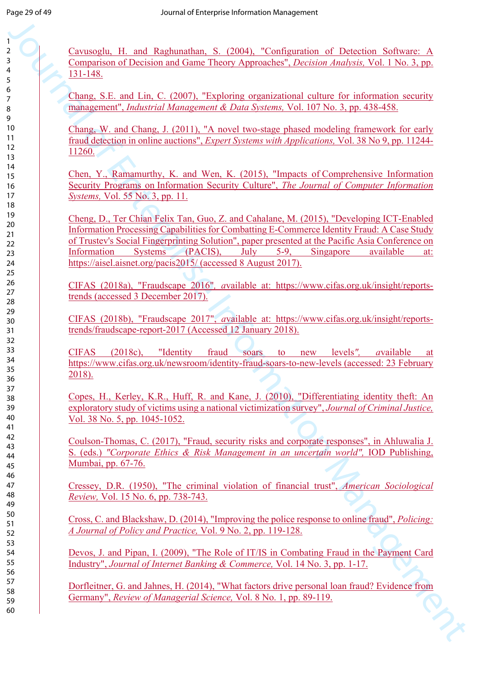Cavusoglu, H. and Raghunathan, S. (2004), "Configuration of Detection Software: A Comparison of Decision and Game Theory Approaches", *Decision Analysis,* Vol. 1 No. 3, pp. 131-148.

Chang, S.E. and Lin, C. (2007), "Exploring organizational culture for information security management", *Industrial Management & Data Systems,* Vol. 107 No. 3, pp. 438-458.

Chang, W. and Chang, J. (2011), "A novel two-stage phased modeling framework for early fraud detection in online auctions", *Expert Systems with Applications,* Vol. 38 No 9, pp. 11244- 11260.

Chen, Y., Ramamurthy, K. and Wen, K. (2015), "Impacts of Comprehensive Information Security Programs on Information Security Culture", *The Journal of Computer Information Systems,* Vol. 55 No. 3, pp. 11.

Chemistric H. and Richardson, N. (2003), "Configuration of Chemistric Scheme Scheme (1993), (September 2013), (Septembent 2013), (Septembent 2013), (Septembent 2013), (Septembent 2013), (Septembent 2013), (Septembent 2013 Cheng, D., Ter Chian Felix Tan, Guo, Z. and Cahalane, M. (2015), "Developing ICT-Enabled Information Processing Capabilities for Combatting E-Commerce Identity Fraud: A Case Study of Trustev's Social Fingerprinting Solution", paper presented at the Pacific Asia Conference on Information Systems (PACIS), July 5-9, Singapore available at: https://aisel.aisnet.org/pacis2015/ (accessed 8 August 2017).

CIFAS (2018a), "Fraudscape 2016"*, a*vailable at: https://www.cifas.org.uk/insight/reportstrends (accessed 3 December 2017).

CIFAS (2018b), "Fraudscape 2017", *a*vailable at: https://www.cifas.org.uk/insight/reportstrends/fraudscape-report-2017 (Accessed 12 January 2018).

CIFAS (2018c), "Identity fraud soars to new levels*", a*vailable at https://www.cifas.org.uk/newsroom/identity-fraud-soars-to-new-levels (accessed: 23 February 2018).

Copes, H., Kerley, K.R., Huff, R. and Kane, J. (2010), "Differentiating identity theft: An exploratory study of victims using a national victimization survey", *Journal of Criminal Justice,*  Vol. 38 No. 5, pp. 1045-1052.

Coulson-Thomas, C. (2017), "Fraud, security risks and corporate responses", in Ahluwalia J. S. (eds.) *"Corporate Ethics & Risk Management in an uncertain world",* IOD Publishing, Mumbai, pp. 67-76.

Cressey, D.R. (1950), "The criminal violation of financial trust", *American Sociological Review,* Vol. 15 No. 6, pp. 738-743.

Cross, C. and Blackshaw, D. (2014), "Improving the police response to online fraud", *Policing: A Journal of Policy and Practice,* Vol. 9 No. 2, pp. 119-128.

Devos, J. and Pipan, I. (2009), "The Role of IT/IS in Combating Fraud in the Payment Card Industry", *Journal of Internet Banking & Commerce,* Vol. 14 No. 3, pp. 1-17.

Dorfleitner, G. and Jahnes, H. (2014), "What factors drive personal loan fraud? Evidence from Germany", *Review of Managerial Science,* Vol. 8 No. 1, pp. 89-119.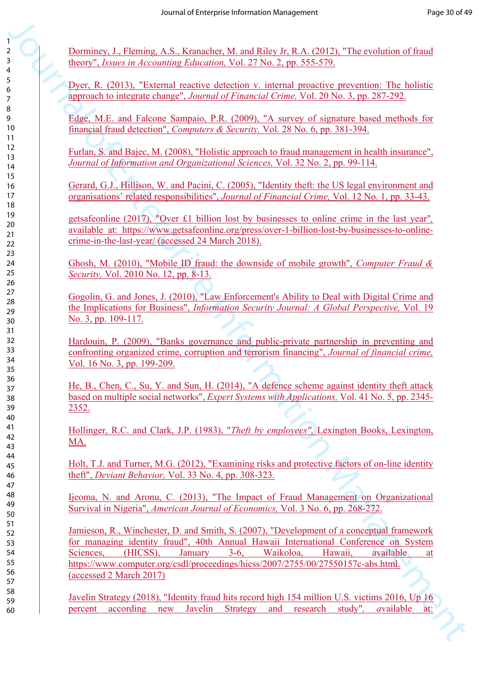Dorminey, J., Fleming, A.S., Kranacher, M. and Riley Jr, R.A. (2012), "The evolution of fraud theory", *Issues in Accounting Education,* Vol. 27 No. 2, pp. 555-579.

Dyer, R. (2013), "External reactive detection v. internal proactive prevention: The holistic approach to integrate change", *Journal of Financial Crime,* Vol. 20 No. 3, pp. 287-292.

Edge, M.E. and Falcone Sampaio, P.R. (2009), "A survey of signature based methods for financial fraud detection", *Computers & Security,* Vol. 28 No. 6, pp. 381-394.

Furlan, S. and Bajec, M. (2008), "Holistic approach to fraud management in health insurance", *Journal of Information and Organizational Sciences,* Vol. 32 No. 2, pp. 99-114.

Gerard, G.J., Hillison, W. and Pacini, C. (2005), "Identity theft: the US legal environment and organisations' related responsibilities", *Journal of Financial Crime,* Vol. 12 No. 1, pp. 33-43.

getsafeonline (2017), "Over £1 billion lost by businesses to online crime in the last year"*,*  available at: https://www.getsafeonline.org/press/over-1-billion-lost-by-businesses-to-onlinecrime-in-the-last-year/ (accessed 24 March 2018).

Ghosh, M. (2010), "Mobile ID fraud: the downside of mobile growth", *Computer Fraud & Security,* Vol. 2010 No. 12, pp. 8-13.

Gogolin, G. and Jones, J. (2010), "Law Enforcement's Ability to Deal with Digital Crime and the Implications for Business", *Information Security Journal: A Global Perspective,* Vol. 19 No. 3, pp. 109-117.

Hardouin, P. (2009), "Banks governance and public-private partnership in preventing and confronting organized crime, corruption and terrorism financing", *Journal of financial crime,*  Vol. 16 No. 3, pp. 199-209.

He, B., Chen, C., Su, Y. and Sun, H. (2014), "A defence scheme against identity theft attack based on multiple social networks", *Expert Systems with Applications,* Vol. 41 No. 5, pp. 2345- 2352.

Hollinger, R.C. and Clark, J.P. (1983), "*Theft by employees",* Lexington Books, Lexington, MA.

Holt, T.J. and Turner, M.G. (2012), "Examining risks and protective factors of on-line identity theft", *Deviant Behavior,* Vol. 33 No. 4, pp. 308-323.

Ijeoma, N. and Aronu, C. (2013), "The Impact of Fraud Management on Organizational Survival in Nigeria", *American Journal of Economics,* Vol. 3 No. 6, pp. 268-272.

The constraints of the statistic of the statistic of the statistic of the statistic of the statistic of the statistic of the statistic statistic statistic statistic statistic statistic statistic statistic statistic statis Jamieson, R., Winchester, D. and Smith, S. (2007), "Development of a conceptual framework for managing identity fraud", 40th Annual Hawaii International Conference on System Sciences, (HICSS), January 3-6, Waikoloa, Hawaii, available at https://www.computer.org/csdl/proceedings/hicss/2007/2755/00/27550157c-abs.html. (accessed 2 March 2017)

Javelin Strategy (2018), "Identity fraud hits record high 154 million U.S. victims 2016, Up 16 percent according new Javelin Strategy and research study"*, a*vailable at: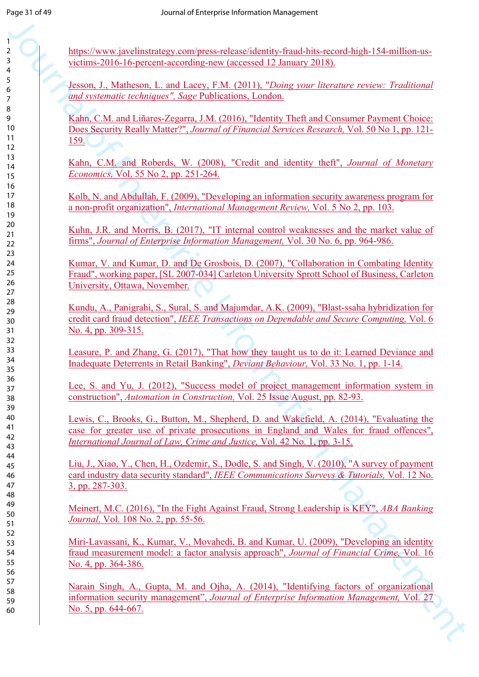https://www.javelinstrategy.com/press-release/identity-fraud-hits-record-high-154-million-usvictims-2016-16-percent-according-new (accessed 12 January 2018).

Jesson, J., Matheson, L. and Lacey, F.M. (2011), "*Doing your literature review: Traditional and systematic techniques", Sage* Publications, London.

Kahn, C.M. and Liñares-Zegarra, J.M. (2016), "Identity Theft and Consumer Payment Choice: Does Security Really Matter?", *Journal of Financial Services Research,* Vol. 50 No 1, pp. 121- 159.

Kahn, C.M. and Roberds, W. (2008), "Credit and identity theft", *Journal of Monetary Economics,* Vol. 55 No 2, pp. 251-264.

Kolb, N. and Abdullah, F. (2009), "Developing an information security awareness program for a non-profit organization", *International Management Review,* Vol. 5 No 2, pp. 103.

Kuhn, J.R. and Morris, B. (2017), "IT internal control weaknesses and the market value of firms", *Journal of Enterprise Information Management,* Vol. 30 No. 6, pp. 964-986.

Kumar, V. and Kumar, D. and De Grosbois, D. (2007), "Collaboration in Combating Identity Fraud", working paper, [SL 2007-034] Carleton University Sprott School of Business, Carleton University, Ottawa, November.

Kundu, A., Panigrahi, S., Sural, S. and Majumdar, A.K. (2009), "Blast-ssaha hybridization for credit card fraud detection", *IEEE Transactions on Dependable and Secure Computing,* Vol. 6 No. 4, pp. 309-315.

Leasure, P. and Zhang, G. (2017), "That how they taught us to do it: Learned Deviance and Inadequate Deterrents in Retail Banking", *Deviant Behaviour,* Vol. 33 No. 1, pp. 1-14.

Lee, S. and Yu, J. (2012), "Success model of project management information system in construction", *Automation in Construction,* Vol. 25 Issue August, pp. 82-93.

Lewis, C., Brooks, G., Button, M., Shepherd, D. and Wakefield, A. (2014), "Evaluating the case for greater use of private prosecutions in England and Wales for fraud offences", *International Journal of Law, Crime and Justice,* Vol. 42 No. 1, pp. 3-15.

Figure Neural Constrainten and the constraints of mail Party 1981 154 rather and victimes 2016 (For Geometry Andrew Constraints Inc. 2018).<br>
Figure 1.3 Matters and Lange And The Constraints Inc. 2018, the constraints of t Liu, J., Xiao, Y., Chen, H., Ozdemir, S., Dodle, S. and Singh, V. (2010), "A survey of payment card industry data security standard", *IEEE Communications Surveys & Tutorials,* Vol. 12 No. 3, pp. 287-303.

Meinert, M.C. (2016), "In the Fight Against Fraud, Strong Leadership is KEY", *ABA Banking Journal,* Vol. 108 No. 2, pp. 55-56.

Miri-Lavassani, K., Kumar, V., Movahedi, B. and Kumar, U. (2009), "Developing an identity fraud measurement model: a factor analysis approach", *Journal of Financial Crime,* Vol. 16 No. 4, pp. 364-386.

Narain Singh, A., Gupta, M. and Ojha, A. (2014), "Identifying factors of organizational information security management", *Journal of Enterprise Information Management,* Vol. 27 No. 5, pp. 644-667.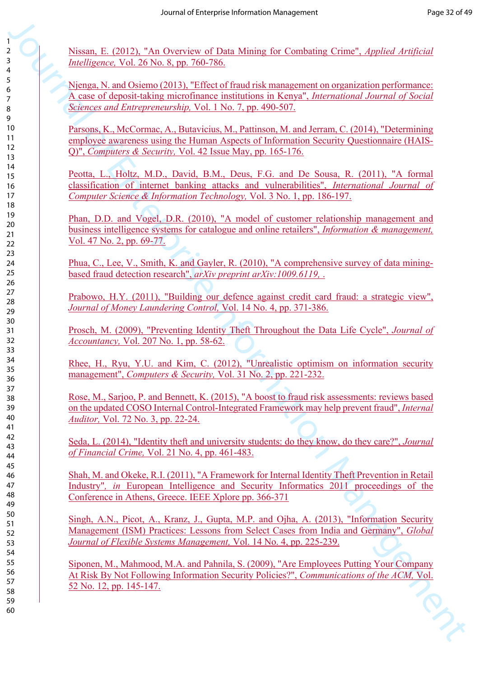Nissan, E. (2012), "An Overview of Data Mining for Combating Crime", *Applied Artificial Intelligence,* Vol. 26 No. 8, pp. 760-786.

Njenga, N. and Osiemo (2013), "Effect of fraud risk management on organization performance: A case of deposit-taking microfinance institutions in Kenya", *International Journal of Social Sciences and Entrepreneurship,* Vol. 1 No. 7, pp. 490-507.

Parsons, K., McCormac, A., Butavicius, M., Pattinson, M. and Jerram, C. (2014), "Determining employee awareness using the Human Aspects of Information Security Questionnaire (HAIS-Q)", *Computers & Security,* Vol. 42 Issue May, pp. 165-176.

Peotta, L., Holtz, M.D., David, B.M., Deus, F.G. and De Sousa, R. (2011), "A formal classification of internet banking attacks and vulnerabilities", *International Journal of Computer Science & Information Technology,* Vol. 3 No. 1, pp. 186-197.

Phan, D.D. and Vogel, D.R. (2010), "A model of customer relationship management and business intelligence systems for catalogue and online retailers", *Information & management,*  Vol. 47 No. 2, pp. 69-77.

Phua, C., Lee, V., Smith, K. and Gayler, R. (2010), "A comprehensive survey of data miningbased fraud detection research", *arXiv preprint arXiv:1009.6119,* .

Prabowo, H.Y. (2011), "Building our defence against credit card fraud: a strategic view", *Journal of Money Laundering Control,* Vol. 14 No. 4, pp. 371-386.

Prosch, M. (2009), "Preventing Identity Theft Throughout the Data Life Cycle", *Journal of Accountancy,* Vol. 207 No. 1, pp. 58-62.

Rhee, H., Ryu, Y.U. and Kim, C. (2012), "Unrealistic optimism on information security management", *Computers & Security,* Vol. 31 No. 2, pp. 221-232.

Rose, M., Sarjoo, P. and Bennett, K. (2015), "A boost to fraud risk assessments: reviews based on the updated COSO Internal Control-Integrated Framework may help prevent fraud", *Internal Auditor,* Vol. 72 No. 3, pp. 22-24.

Seda, L. (2014), "Identity theft and university students: do they know, do they care?", *Journal of Financial Crime,* Vol. 21 No. 4, pp. 461-483.

Shah, M. and Okeke, R.I. (2011), "A Framework for Internal Identity Theft Prevention in Retail Industry"*, in* European Intelligence and Security Informatics 2011 proceedings of the Conference in Athens, Greece. IEEE Xplore pp. 366-371

Singh, A.N., Picot, A., Kranz, J., Gupta, M.P. and Ojha, A. (2013), "Information Security Management (ISM) Practices: Lessons from Select Cases from India and Germany", *Global Journal of Flexible Systems Management,* Vol. 14 No. 4, pp. 225-239.

Journal of Enterprise Information Management Siponen, M., Mahmood, M.A. and Pahnila, S. (2009), "Are Employees Putting Your Company At Risk By Not Following Information Security Policies?", *Communications of the ACM,* Vol. 52 No. 12, pp. 145-147.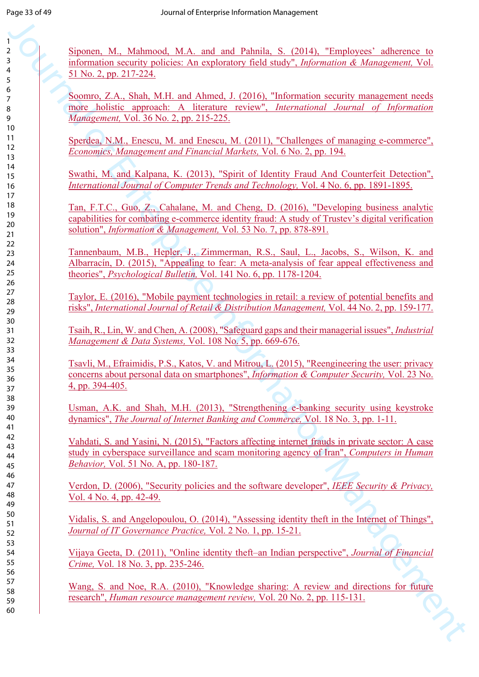Siponen, M., Mahmood, M.A. and and Pahnila, S. (2014), "Employees' adherence to information security policies: An exploratory field study", *Information & Management,* Vol. 51 No. 2, pp. 217-224.

Soomro, Z.A., Shah, M.H. and Ahmed, J. (2016), "Information security management needs more holistic approach: A literature review", *International Journal of Information Management,* Vol. 36 No. 2, pp. 215-225.

Sperdea, N.M., Enescu, M. and Enescu, M. (2011), "Challenges of managing e-commerce", *Economics, Management and Financial Markets,* Vol. 6 No. 2, pp. 194.

Swathi, M. and Kalpana, K. (2013), "Spirit of Identity Fraud And Counterfeit Detection", *International Journal of Computer Trends and Technology,* Vol. 4 No. 6, pp. 1891-1895.

3<br>
2. Sinomar, M. Ademaid, M.A. and and Palmis, S. (2014). "Tepelopes" advantage is a transformation Accords<br>
1.0 (and 2 m) (1.2) L. A. Shah, M.H. and Admed, J. (2016). "Information is<br>configurate include the shahar and t Tan, F.T.C., Guo, Z., Cahalane, M. and Cheng, D. (2016), "Developing business analytic capabilities for combating e-commerce identity fraud: A study of Trustev's digital verification solution", *Information & Management,* Vol. 53 No. 7, pp. 878-891.

Tannenbaum, M.B., Hepler, J., Zimmerman, R.S., Saul, L., Jacobs, S., Wilson, K. and Albarracín, D. (2015), "Appealing to fear: A meta-analysis of fear appeal effectiveness and theories", *Psychological Bulletin,* Vol. 141 No. 6, pp. 1178-1204.

Taylor, E. (2016), "Mobile payment technologies in retail: a review of potential benefits and risks", *International Journal of Retail & Distribution Management,* Vol. 44 No. 2, pp. 159-177.

Tsaih, R., Lin, W. and Chen, A. (2008), "Safeguard gaps and their managerial issues", *Industrial Management & Data Systems,* Vol. 108 No. 5, pp. 669-676.

Tsavli, M., Efraimidis, P.S., Katos, V. and Mitrou, L. (2015), "Reengineering the user: privacy concerns about personal data on smartphones", *Information & Computer Security,* Vol. 23 No. 4, pp. 394-405.

Usman, A.K. and Shah, M.H. (2013), "Strengthening e-banking security using keystroke dynamics", *The Journal of Internet Banking and Commerce,* Vol. 18 No. 3, pp. 1-11.

Vahdati, S. and Yasini, N. (2015), "Factors affecting internet frauds in private sector: A case study in cyberspace surveillance and scam monitoring agency of Iran", *Computers in Human Behavior,* Vol. 51 No. A, pp. 180-187.

Verdon, D. (2006), "Security policies and the software developer", *IEEE Security & Privacy,*  Vol. 4 No. 4, pp. 42-49.

Vidalis, S. and Angelopoulou, O. (2014), "Assessing identity theft in the Internet of Things", *Journal of IT Governance Practice,* Vol. 2 No. 1, pp. 15-21.

Vijaya Geeta, D. (2011), "Online identity theft–an Indian perspective", *Journal of Financial Crime,* Vol. 18 No. 3, pp. 235-246.

Wang, S. and Noe, R.A. (2010), "Knowledge sharing: A review and directions for future research", *Human resource management review,* Vol. 20 No. 2, pp. 115-131.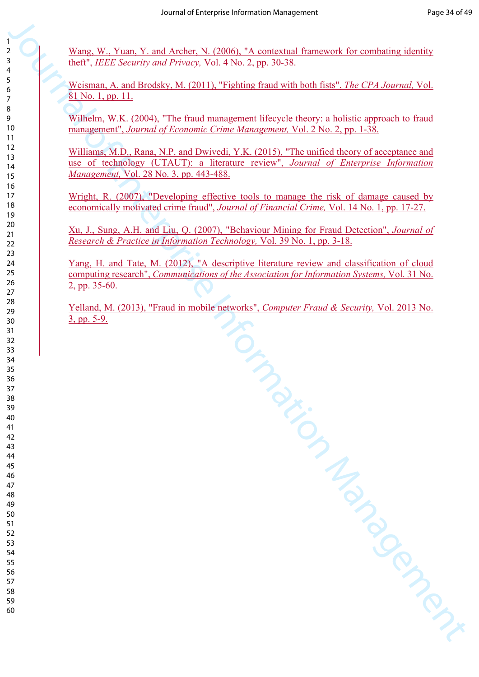Wang, W., Yuan, Y. and Archer, N. (2006), "A contextual framework for combating identity theft", *IEEE Security and Privacy,* Vol. 4 No. 2, pp. 30-38.

Weisman, A. and Brodsky, M. (2011), "Fighting fraud with both fists", *The CPA Journal,* Vol. 81 No. 1, pp. 11.

Wilhelm, W.K. (2004), "The fraud management lifecycle theory: a holistic approach to fraud management", *Journal of Economic Crime Management,* Vol. 2 No. 2, pp. 1-38.

Williams, M.D., Rana, N.P. and Dwivedi, Y.K. (2015), "The unified theory of acceptance and use of technology (UTAUT): a literature review", *Journal of Enterprise Information Management,* Vol. 28 No. 3, pp. 443-488.

Wright, R. (2007), "Developing effective tools to manage the risk of damage caused by economically motivated crime fraud", *Journal of Financial Crime,* Vol. 14 No. 1, pp. 17-27.

Xu, J., Sung, A.H. and Liu, Q. (2007), "Behaviour Mining for Fraud Detection", *Journal of Research & Practice in Information Technology,* Vol. 39 No. 1, pp. 3-18.

Yang, H. and Tate, M. (2012), "A descriptive literature review and classification of cloud computing research", *Communications of the Association for Information Systems,* Vol. 31 No. 2, pp. 35-60.

Justicem Company of Company Yelland, M. (2013), "Fraud in mobile networks", *Computer Fraud & Security,* Vol. 2013 No. 3, pp. 5-9.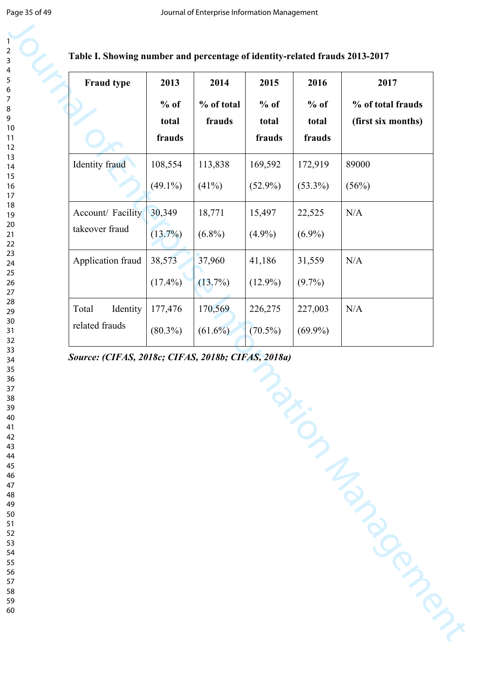|  |  | Table I. Showing number and percentage of identity-related frauds 2013-2017 |
|--|--|-----------------------------------------------------------------------------|
|--|--|-----------------------------------------------------------------------------|

| Identity fraud<br>Account/ Facility<br>takeover fraud | $%$ of<br>total<br>frauds<br>108,554<br>$(49.1\%)$ | % of total<br>frauds<br>113,838 | $%$ of<br>total<br>frauds<br>169,592 | $%$ of<br>total<br>frauds | % of total frauds<br>(first six months) |
|-------------------------------------------------------|----------------------------------------------------|---------------------------------|--------------------------------------|---------------------------|-----------------------------------------|
|                                                       |                                                    |                                 |                                      |                           |                                         |
|                                                       |                                                    |                                 |                                      | 172,919                   | 89000                                   |
|                                                       |                                                    | (41%)                           | $(52.9\%)$                           | $(53.3\%)$                | (56%)                                   |
|                                                       | 30,349                                             | 18,771                          | 15,497                               | 22,525                    | N/A                                     |
|                                                       | $(13.7\%)$                                         | $(6.8\%)$                       | $(4.9\%)$                            | $(6.9\%)$                 |                                         |
| Application fraud                                     | 38,573                                             | 37,960                          | 41,186                               | 31,559                    | N/A                                     |
|                                                       | $(17.4\%)$                                         | (13.7%)                         | $(12.9\%)$                           | $(9.7\%)$                 |                                         |
| Total<br>Identity                                     | 177,476                                            | 170,569                         | 226,275                              | 227,003                   | N/A                                     |
| related frauds                                        | $(80.3\%)$                                         | $(61.6\%)$                      | $(70.5\%)$                           | $(69.9\%)$                |                                         |
|                                                       |                                                    |                                 |                                      |                           |                                         |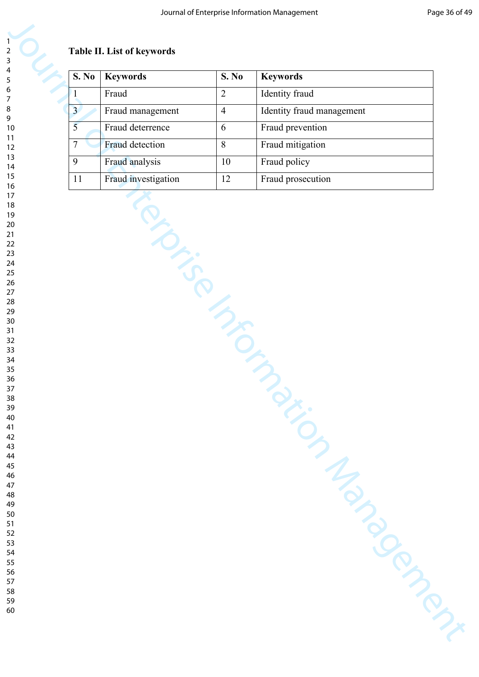#### **Table II. List of keywords**

|                 | <b>Keywords</b>     | S. No          | <b>Keywords</b>           |
|-----------------|---------------------|----------------|---------------------------|
| $\mathbf{1}$    | Fraud               | $\overline{2}$ | Identity fraud            |
| 3 <sup>1</sup>  | Fraud management    | $\overline{4}$ | Identity fraud management |
| 5               | Fraud deterrence    | 6              | Fraud prevention          |
| $7\phantom{.0}$ | Fraud detection     | 8              | Fraud mitigation          |
| 9               | Fraud analysis      | 10             | Fraud policy              |
| 11              | Fraud investigation | 12             | Fraud prosecution         |
|                 | iPISSION TON        |                |                           |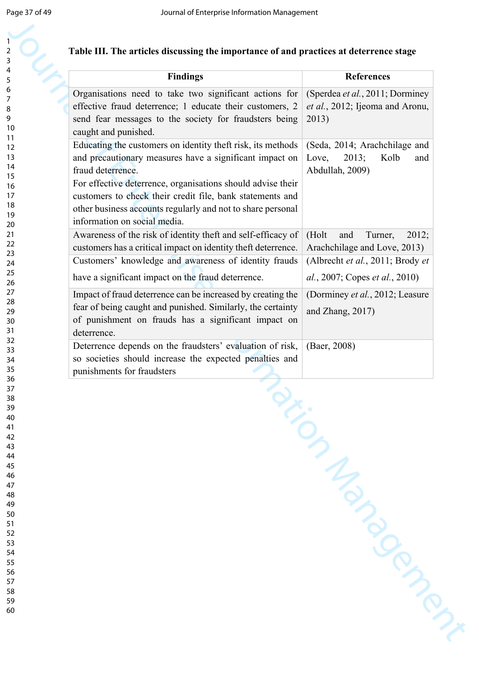| <b>Findings</b>                                                                                                      | <b>References</b>                |
|----------------------------------------------------------------------------------------------------------------------|----------------------------------|
| Organisations need to take two significant actions for                                                               | (Sperdea et al., 2011; Dorminey  |
| effective fraud deterrence; 1 educate their customers, 2                                                             | et al., 2012; Ijeoma and Aronu,  |
| send fear messages to the society for fraudsters being                                                               | 2013)                            |
| caught and punished.                                                                                                 |                                  |
| Educating the customers on identity theft risk, its methods                                                          | (Seda, 2014; Arachchilage and    |
| and precautionary measures have a significant impact on                                                              | 2013;<br>Kolb<br>Love,<br>and    |
| fraud deterrence.                                                                                                    | Abdullah, 2009)                  |
| For effective deterrence, organisations should advise their                                                          |                                  |
| customers to check their credit file, bank statements and                                                            |                                  |
| other business accounts regularly and not to share personal                                                          |                                  |
| information on social media.                                                                                         |                                  |
| Awareness of the risk of identity theft and self-efficacy of                                                         | (Holt<br>Turner,<br>2012;<br>and |
| customers has a critical impact on identity theft deterrence.                                                        | Arachchilage and Love, 2013)     |
| Customers' knowledge and awareness of identity frauds                                                                | (Albrecht et al., 2011; Brody et |
| have a significant impact on the fraud deterrence.                                                                   | al., 2007; Copes et al., 2010)   |
|                                                                                                                      |                                  |
| Impact of fraud deterrence can be increased by creating the                                                          | (Dorminey et al., 2012; Leasure  |
| fear of being caught and punished. Similarly, the certainty                                                          | and Zhang, 2017)                 |
| of punishment on frauds has a significant impact on<br>deterrence.                                                   |                                  |
|                                                                                                                      |                                  |
| Deterrence depends on the fraudsters' evaluation of risk,<br>so societies should increase the expected penalties and | (Baer, 2008)                     |
| punishments for fraudsters                                                                                           |                                  |
|                                                                                                                      |                                  |

#### **Table III. The articles discussing the importance of and practices at deterrence stage**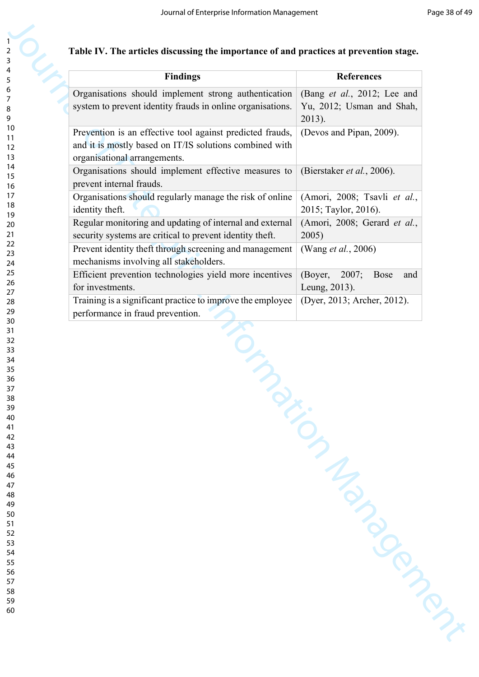| <b>Findings</b>                                            | <b>References</b>                      |
|------------------------------------------------------------|----------------------------------------|
| Organisations should implement strong authentication       | (Bang et al., 2012; Lee and            |
| system to prevent identity frauds in online organisations. | Yu, 2012; Usman and Shah,              |
|                                                            | 2013).                                 |
| Prevention is an effective tool against predicted frauds,  | (Devos and Pipan, 2009).               |
| and it is mostly based on IT/IS solutions combined with    |                                        |
| organisational arrangements.                               |                                        |
| Organisations should implement effective measures to       | (Bierstaker et al., 2006).             |
| prevent internal frauds.                                   |                                        |
| Organisations should regularly manage the risk of online   | (Amori, 2008; Tsavli et al.,           |
| identity theft.                                            | 2015; Taylor, 2016).                   |
| Regular monitoring and updating of internal and external   | (Amori, 2008; Gerard et al.,           |
| security systems are critical to prevent identity theft.   | 2005)                                  |
| Prevent identity theft through screening and management    | (Wang et al., 2006)                    |
| mechanisms involving all stakeholders.                     |                                        |
| Efficient prevention technologies yield more incentives    | (Boyer,<br>2007;<br><b>Bose</b><br>and |
| for investments.                                           | Leung, 2013).                          |
| Training is a significant practice to improve the employee | (Dyer, 2013; Archer, 2012).            |
| performance in fraud prevention.                           |                                        |
|                                                            |                                        |

#### **Table IV. The articles discussing the importance of and practices at prevention stage.**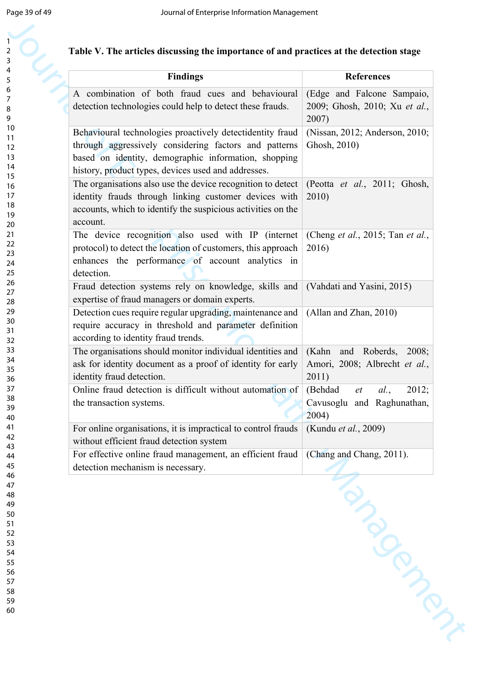| A combination of both fraud cues and behavioural<br>(Edge and Falcone Sampaio,<br>detection technologies could help to detect these frauds.<br>2007)<br>Behavioural technologies proactively detectidentity fraud<br>(Nissan, 2012; Anderson, 2010;<br>through aggressively considering factors and patterns<br>Ghosh, 2010)<br>based on identity, demographic information, shopping<br>history, product types, devices used and addresses.<br>The organisations also use the device recognition to detect<br>(Peotta et al., 2011; Ghosh,<br>identity frauds through linking customer devices with<br>2010)<br>accounts, which to identify the suspicious activities on the<br>account.<br>The device recognition also used with IP (internet<br>(Cheng <i>et al.</i> , 2015; Tan <i>et al.</i> ,<br>protocol) to detect the location of customers, this approach<br>2016)<br>enhances the performance of account analytics in<br>detection.<br>Fraud detection systems rely on knowledge, skills and<br>(Vahdati and Yasini, 2015)<br>expertise of fraud managers or domain experts.<br>Detection cues require regular upgrading, maintenance and<br>(Allan and Zhan, 2010)<br>require accuracy in threshold and parameter definition<br>according to identity fraud trends.<br>The organisations should monitor individual identities and<br>Roberds,<br>(Kahn<br>2008;<br>and<br>ask for identity document as a proof of identity for early<br>Amori, 2008; Albrecht et al.,<br>2011)<br>identity fraud detection.<br>Online fraud detection is difficult without automation of<br>2012;<br>(Behdad<br>al.,<br>et<br>the transaction systems.<br>Cavusoglu and Raghunathan,<br>2004)<br>For online organisations, it is impractical to control frauds<br>(Kundu et al., 2009)<br>without efficient fraud detection system<br>For effective online fraud management, an efficient fraud<br>(Chang and Chang, 2011).<br>detection mechanism is necessary.<br>Manuscript | <b>Findings</b> | <b>References</b>             |
|---------------------------------------------------------------------------------------------------------------------------------------------------------------------------------------------------------------------------------------------------------------------------------------------------------------------------------------------------------------------------------------------------------------------------------------------------------------------------------------------------------------------------------------------------------------------------------------------------------------------------------------------------------------------------------------------------------------------------------------------------------------------------------------------------------------------------------------------------------------------------------------------------------------------------------------------------------------------------------------------------------------------------------------------------------------------------------------------------------------------------------------------------------------------------------------------------------------------------------------------------------------------------------------------------------------------------------------------------------------------------------------------------------------------------------------------------------------------------------------------------------------------------------------------------------------------------------------------------------------------------------------------------------------------------------------------------------------------------------------------------------------------------------------------------------------------------------------------------------------------------------------------------------------------------------------------------------------------------|-----------------|-------------------------------|
|                                                                                                                                                                                                                                                                                                                                                                                                                                                                                                                                                                                                                                                                                                                                                                                                                                                                                                                                                                                                                                                                                                                                                                                                                                                                                                                                                                                                                                                                                                                                                                                                                                                                                                                                                                                                                                                                                                                                                                           |                 |                               |
|                                                                                                                                                                                                                                                                                                                                                                                                                                                                                                                                                                                                                                                                                                                                                                                                                                                                                                                                                                                                                                                                                                                                                                                                                                                                                                                                                                                                                                                                                                                                                                                                                                                                                                                                                                                                                                                                                                                                                                           |                 | 2009; Ghosh, 2010; Xu et al., |
|                                                                                                                                                                                                                                                                                                                                                                                                                                                                                                                                                                                                                                                                                                                                                                                                                                                                                                                                                                                                                                                                                                                                                                                                                                                                                                                                                                                                                                                                                                                                                                                                                                                                                                                                                                                                                                                                                                                                                                           |                 |                               |
|                                                                                                                                                                                                                                                                                                                                                                                                                                                                                                                                                                                                                                                                                                                                                                                                                                                                                                                                                                                                                                                                                                                                                                                                                                                                                                                                                                                                                                                                                                                                                                                                                                                                                                                                                                                                                                                                                                                                                                           |                 |                               |
|                                                                                                                                                                                                                                                                                                                                                                                                                                                                                                                                                                                                                                                                                                                                                                                                                                                                                                                                                                                                                                                                                                                                                                                                                                                                                                                                                                                                                                                                                                                                                                                                                                                                                                                                                                                                                                                                                                                                                                           |                 |                               |
|                                                                                                                                                                                                                                                                                                                                                                                                                                                                                                                                                                                                                                                                                                                                                                                                                                                                                                                                                                                                                                                                                                                                                                                                                                                                                                                                                                                                                                                                                                                                                                                                                                                                                                                                                                                                                                                                                                                                                                           |                 |                               |
|                                                                                                                                                                                                                                                                                                                                                                                                                                                                                                                                                                                                                                                                                                                                                                                                                                                                                                                                                                                                                                                                                                                                                                                                                                                                                                                                                                                                                                                                                                                                                                                                                                                                                                                                                                                                                                                                                                                                                                           |                 |                               |
|                                                                                                                                                                                                                                                                                                                                                                                                                                                                                                                                                                                                                                                                                                                                                                                                                                                                                                                                                                                                                                                                                                                                                                                                                                                                                                                                                                                                                                                                                                                                                                                                                                                                                                                                                                                                                                                                                                                                                                           |                 |                               |
|                                                                                                                                                                                                                                                                                                                                                                                                                                                                                                                                                                                                                                                                                                                                                                                                                                                                                                                                                                                                                                                                                                                                                                                                                                                                                                                                                                                                                                                                                                                                                                                                                                                                                                                                                                                                                                                                                                                                                                           |                 |                               |
|                                                                                                                                                                                                                                                                                                                                                                                                                                                                                                                                                                                                                                                                                                                                                                                                                                                                                                                                                                                                                                                                                                                                                                                                                                                                                                                                                                                                                                                                                                                                                                                                                                                                                                                                                                                                                                                                                                                                                                           |                 |                               |
|                                                                                                                                                                                                                                                                                                                                                                                                                                                                                                                                                                                                                                                                                                                                                                                                                                                                                                                                                                                                                                                                                                                                                                                                                                                                                                                                                                                                                                                                                                                                                                                                                                                                                                                                                                                                                                                                                                                                                                           |                 |                               |
|                                                                                                                                                                                                                                                                                                                                                                                                                                                                                                                                                                                                                                                                                                                                                                                                                                                                                                                                                                                                                                                                                                                                                                                                                                                                                                                                                                                                                                                                                                                                                                                                                                                                                                                                                                                                                                                                                                                                                                           |                 |                               |
|                                                                                                                                                                                                                                                                                                                                                                                                                                                                                                                                                                                                                                                                                                                                                                                                                                                                                                                                                                                                                                                                                                                                                                                                                                                                                                                                                                                                                                                                                                                                                                                                                                                                                                                                                                                                                                                                                                                                                                           |                 |                               |
|                                                                                                                                                                                                                                                                                                                                                                                                                                                                                                                                                                                                                                                                                                                                                                                                                                                                                                                                                                                                                                                                                                                                                                                                                                                                                                                                                                                                                                                                                                                                                                                                                                                                                                                                                                                                                                                                                                                                                                           |                 |                               |
|                                                                                                                                                                                                                                                                                                                                                                                                                                                                                                                                                                                                                                                                                                                                                                                                                                                                                                                                                                                                                                                                                                                                                                                                                                                                                                                                                                                                                                                                                                                                                                                                                                                                                                                                                                                                                                                                                                                                                                           |                 |                               |
|                                                                                                                                                                                                                                                                                                                                                                                                                                                                                                                                                                                                                                                                                                                                                                                                                                                                                                                                                                                                                                                                                                                                                                                                                                                                                                                                                                                                                                                                                                                                                                                                                                                                                                                                                                                                                                                                                                                                                                           |                 |                               |
|                                                                                                                                                                                                                                                                                                                                                                                                                                                                                                                                                                                                                                                                                                                                                                                                                                                                                                                                                                                                                                                                                                                                                                                                                                                                                                                                                                                                                                                                                                                                                                                                                                                                                                                                                                                                                                                                                                                                                                           |                 |                               |
|                                                                                                                                                                                                                                                                                                                                                                                                                                                                                                                                                                                                                                                                                                                                                                                                                                                                                                                                                                                                                                                                                                                                                                                                                                                                                                                                                                                                                                                                                                                                                                                                                                                                                                                                                                                                                                                                                                                                                                           |                 |                               |
|                                                                                                                                                                                                                                                                                                                                                                                                                                                                                                                                                                                                                                                                                                                                                                                                                                                                                                                                                                                                                                                                                                                                                                                                                                                                                                                                                                                                                                                                                                                                                                                                                                                                                                                                                                                                                                                                                                                                                                           |                 |                               |
|                                                                                                                                                                                                                                                                                                                                                                                                                                                                                                                                                                                                                                                                                                                                                                                                                                                                                                                                                                                                                                                                                                                                                                                                                                                                                                                                                                                                                                                                                                                                                                                                                                                                                                                                                                                                                                                                                                                                                                           |                 |                               |
|                                                                                                                                                                                                                                                                                                                                                                                                                                                                                                                                                                                                                                                                                                                                                                                                                                                                                                                                                                                                                                                                                                                                                                                                                                                                                                                                                                                                                                                                                                                                                                                                                                                                                                                                                                                                                                                                                                                                                                           |                 |                               |
|                                                                                                                                                                                                                                                                                                                                                                                                                                                                                                                                                                                                                                                                                                                                                                                                                                                                                                                                                                                                                                                                                                                                                                                                                                                                                                                                                                                                                                                                                                                                                                                                                                                                                                                                                                                                                                                                                                                                                                           |                 |                               |
|                                                                                                                                                                                                                                                                                                                                                                                                                                                                                                                                                                                                                                                                                                                                                                                                                                                                                                                                                                                                                                                                                                                                                                                                                                                                                                                                                                                                                                                                                                                                                                                                                                                                                                                                                                                                                                                                                                                                                                           |                 |                               |
|                                                                                                                                                                                                                                                                                                                                                                                                                                                                                                                                                                                                                                                                                                                                                                                                                                                                                                                                                                                                                                                                                                                                                                                                                                                                                                                                                                                                                                                                                                                                                                                                                                                                                                                                                                                                                                                                                                                                                                           |                 |                               |
|                                                                                                                                                                                                                                                                                                                                                                                                                                                                                                                                                                                                                                                                                                                                                                                                                                                                                                                                                                                                                                                                                                                                                                                                                                                                                                                                                                                                                                                                                                                                                                                                                                                                                                                                                                                                                                                                                                                                                                           |                 |                               |
|                                                                                                                                                                                                                                                                                                                                                                                                                                                                                                                                                                                                                                                                                                                                                                                                                                                                                                                                                                                                                                                                                                                                                                                                                                                                                                                                                                                                                                                                                                                                                                                                                                                                                                                                                                                                                                                                                                                                                                           |                 |                               |
|                                                                                                                                                                                                                                                                                                                                                                                                                                                                                                                                                                                                                                                                                                                                                                                                                                                                                                                                                                                                                                                                                                                                                                                                                                                                                                                                                                                                                                                                                                                                                                                                                                                                                                                                                                                                                                                                                                                                                                           |                 |                               |
|                                                                                                                                                                                                                                                                                                                                                                                                                                                                                                                                                                                                                                                                                                                                                                                                                                                                                                                                                                                                                                                                                                                                                                                                                                                                                                                                                                                                                                                                                                                                                                                                                                                                                                                                                                                                                                                                                                                                                                           |                 |                               |
|                                                                                                                                                                                                                                                                                                                                                                                                                                                                                                                                                                                                                                                                                                                                                                                                                                                                                                                                                                                                                                                                                                                                                                                                                                                                                                                                                                                                                                                                                                                                                                                                                                                                                                                                                                                                                                                                                                                                                                           |                 |                               |
|                                                                                                                                                                                                                                                                                                                                                                                                                                                                                                                                                                                                                                                                                                                                                                                                                                                                                                                                                                                                                                                                                                                                                                                                                                                                                                                                                                                                                                                                                                                                                                                                                                                                                                                                                                                                                                                                                                                                                                           |                 |                               |
|                                                                                                                                                                                                                                                                                                                                                                                                                                                                                                                                                                                                                                                                                                                                                                                                                                                                                                                                                                                                                                                                                                                                                                                                                                                                                                                                                                                                                                                                                                                                                                                                                                                                                                                                                                                                                                                                                                                                                                           |                 |                               |
|                                                                                                                                                                                                                                                                                                                                                                                                                                                                                                                                                                                                                                                                                                                                                                                                                                                                                                                                                                                                                                                                                                                                                                                                                                                                                                                                                                                                                                                                                                                                                                                                                                                                                                                                                                                                                                                                                                                                                                           |                 |                               |
|                                                                                                                                                                                                                                                                                                                                                                                                                                                                                                                                                                                                                                                                                                                                                                                                                                                                                                                                                                                                                                                                                                                                                                                                                                                                                                                                                                                                                                                                                                                                                                                                                                                                                                                                                                                                                                                                                                                                                                           |                 |                               |
|                                                                                                                                                                                                                                                                                                                                                                                                                                                                                                                                                                                                                                                                                                                                                                                                                                                                                                                                                                                                                                                                                                                                                                                                                                                                                                                                                                                                                                                                                                                                                                                                                                                                                                                                                                                                                                                                                                                                                                           |                 |                               |
|                                                                                                                                                                                                                                                                                                                                                                                                                                                                                                                                                                                                                                                                                                                                                                                                                                                                                                                                                                                                                                                                                                                                                                                                                                                                                                                                                                                                                                                                                                                                                                                                                                                                                                                                                                                                                                                                                                                                                                           |                 |                               |
|                                                                                                                                                                                                                                                                                                                                                                                                                                                                                                                                                                                                                                                                                                                                                                                                                                                                                                                                                                                                                                                                                                                                                                                                                                                                                                                                                                                                                                                                                                                                                                                                                                                                                                                                                                                                                                                                                                                                                                           |                 |                               |
|                                                                                                                                                                                                                                                                                                                                                                                                                                                                                                                                                                                                                                                                                                                                                                                                                                                                                                                                                                                                                                                                                                                                                                                                                                                                                                                                                                                                                                                                                                                                                                                                                                                                                                                                                                                                                                                                                                                                                                           |                 |                               |
|                                                                                                                                                                                                                                                                                                                                                                                                                                                                                                                                                                                                                                                                                                                                                                                                                                                                                                                                                                                                                                                                                                                                                                                                                                                                                                                                                                                                                                                                                                                                                                                                                                                                                                                                                                                                                                                                                                                                                                           |                 |                               |
|                                                                                                                                                                                                                                                                                                                                                                                                                                                                                                                                                                                                                                                                                                                                                                                                                                                                                                                                                                                                                                                                                                                                                                                                                                                                                                                                                                                                                                                                                                                                                                                                                                                                                                                                                                                                                                                                                                                                                                           |                 |                               |

### **Table V. The articles discussing the importance of and practices at the detection stage**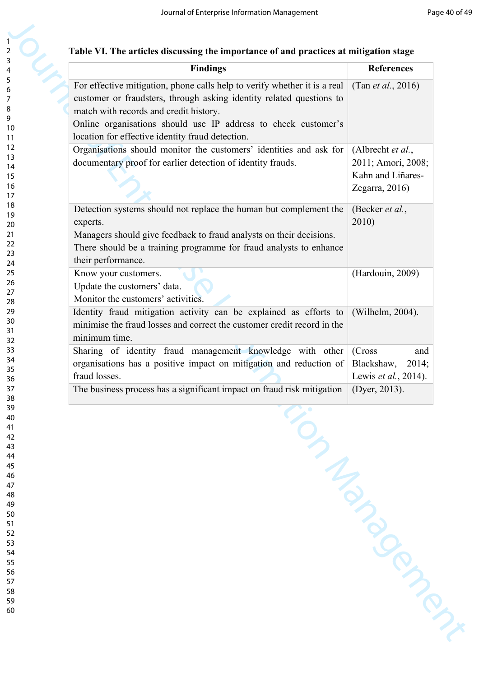| Table VI. The articles discussing the importance of and practices at mitigation stage |  |  |  |
|---------------------------------------------------------------------------------------|--|--|--|
|                                                                                       |  |  |  |
|                                                                                       |  |  |  |

| <b>Findings</b>                                                                                                                                                                                                                                                                                                   | <b>References</b>                                                              |
|-------------------------------------------------------------------------------------------------------------------------------------------------------------------------------------------------------------------------------------------------------------------------------------------------------------------|--------------------------------------------------------------------------------|
| For effective mitigation, phone calls help to verify whether it is a real<br>customer or fraudsters, through asking identity related questions to<br>match with records and credit history.<br>Online organisations should use IP address to check customer's<br>location for effective identity fraud detection. | (Tan <i>et al.</i> , 2016)                                                     |
| Organisations should monitor the customers' identities and ask for<br>documentary proof for earlier detection of identity frauds.                                                                                                                                                                                 | (Albrecht et al.,<br>2011; Amori, 2008;<br>Kahn and Liñares-<br>Zegarra, 2016) |
| Detection systems should not replace the human but complement the<br>experts.<br>Managers should give feedback to fraud analysts on their decisions.<br>There should be a training programme for fraud analysts to enhance<br>their performance.                                                                  | (Becker et al.,<br>2010)                                                       |
| Know your customers.<br>Update the customers' data.<br>Monitor the customers' activities.                                                                                                                                                                                                                         | (Hardouin, 2009)                                                               |
| Identity fraud mitigation activity can be explained as efforts to<br>minimise the fraud losses and correct the customer credit record in the<br>minimum time.                                                                                                                                                     | (Wilhelm, 2004).                                                               |
| Sharing of identity fraud management knowledge with other<br>organisations has a positive impact on mitigation and reduction of<br>fraud losses.<br>The business process has a significant impact on fraud risk mitigation                                                                                        | (Cross<br>and<br>Blackshaw,<br>2014;<br>Lewis et al., 2014).<br>(Dyer, 2013).  |
|                                                                                                                                                                                                                                                                                                                   | Manufacturer                                                                   |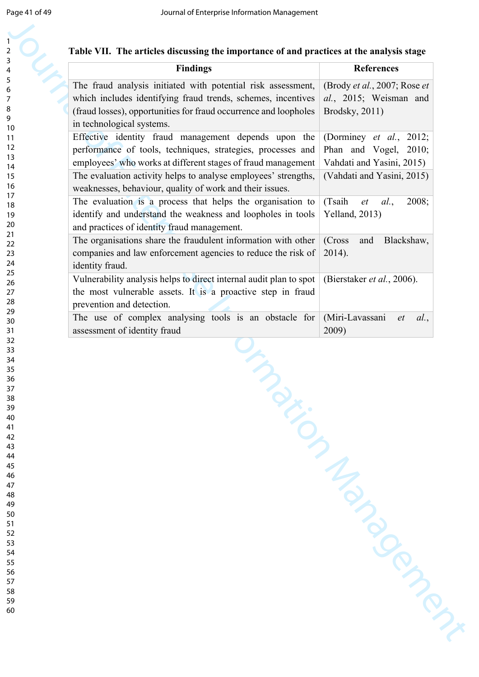| Table VII. The articles discussing the importance of and practices at the analysis stage |  |
|------------------------------------------------------------------------------------------|--|
|------------------------------------------------------------------------------------------|--|

| The fraud analysis initiated with potential risk assessment,<br>which includes identifying fraud trends, schemes, incentives<br>(fraud losses), opportunities for fraud occurrence and loopholes<br>Brodsky, 2011)<br>in technological systems.<br>Effective identity fraud management depends upon the<br>performance of tools, techniques, strategies, processes and<br>employees' who works at different stages of fraud management<br>The evaluation activity helps to analyse employees' strengths,<br>weaknesses, behaviour, quality of work and their issues.<br>The evaluation is a process that helps the organisation to<br>(Tsaih<br>identify and understand the weakness and loopholes in tools<br>Yelland, 2013) | (Brody et al., 2007; Rose et<br>al., 2015; Weisman and<br>(Dorminey <i>et al.</i> , 2012;<br>Phan and Vogel, 2010;<br>Vahdati and Yasini, 2015)<br>(Vahdati and Yasini, 2015) |
|-------------------------------------------------------------------------------------------------------------------------------------------------------------------------------------------------------------------------------------------------------------------------------------------------------------------------------------------------------------------------------------------------------------------------------------------------------------------------------------------------------------------------------------------------------------------------------------------------------------------------------------------------------------------------------------------------------------------------------|-------------------------------------------------------------------------------------------------------------------------------------------------------------------------------|
|                                                                                                                                                                                                                                                                                                                                                                                                                                                                                                                                                                                                                                                                                                                               |                                                                                                                                                                               |
|                                                                                                                                                                                                                                                                                                                                                                                                                                                                                                                                                                                                                                                                                                                               |                                                                                                                                                                               |
|                                                                                                                                                                                                                                                                                                                                                                                                                                                                                                                                                                                                                                                                                                                               |                                                                                                                                                                               |
| and practices of identity fraud management.                                                                                                                                                                                                                                                                                                                                                                                                                                                                                                                                                                                                                                                                                   | 2008;<br>al.<br>$et$                                                                                                                                                          |
| The organisations share the fraudulent information with other<br>(Cross<br>companies and law enforcement agencies to reduce the risk of<br>$2014$ ).<br>identity fraud.                                                                                                                                                                                                                                                                                                                                                                                                                                                                                                                                                       | Blackshaw,<br>and                                                                                                                                                             |
| Vulnerability analysis helps to direct internal audit plan to spot<br>the most vulnerable assets. It is a proactive step in fraud<br>prevention and detection.                                                                                                                                                                                                                                                                                                                                                                                                                                                                                                                                                                | (Bierstaker et al., 2006).                                                                                                                                                    |
| The use of complex analysing tools is an obstacle for<br>(Miri-Lavassani<br>assessment of identity fraud<br>2009)                                                                                                                                                                                                                                                                                                                                                                                                                                                                                                                                                                                                             | al.,<br>et                                                                                                                                                                    |
|                                                                                                                                                                                                                                                                                                                                                                                                                                                                                                                                                                                                                                                                                                                               |                                                                                                                                                                               |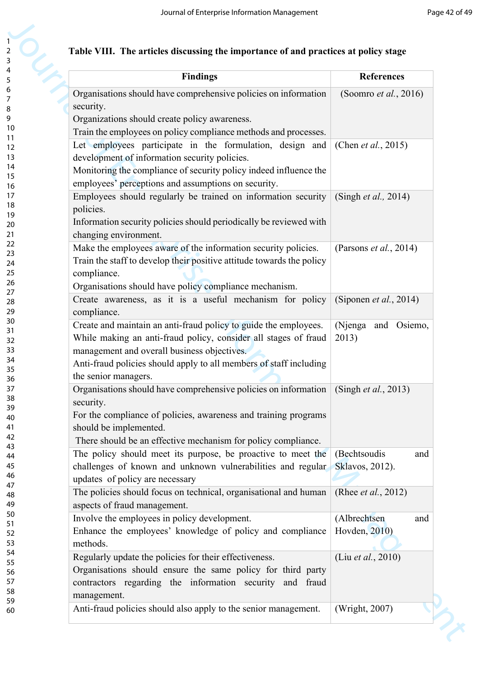|  |  |  | Table VIII. The articles discussing the importance of and practices at policy stage |  |  |  |
|--|--|--|-------------------------------------------------------------------------------------|--|--|--|
|--|--|--|-------------------------------------------------------------------------------------|--|--|--|

| <b>Findings</b>                                                                      | <b>References</b>              |
|--------------------------------------------------------------------------------------|--------------------------------|
| Organisations should have comprehensive policies on information                      | (Soomro et al., 2016)          |
| security.                                                                            |                                |
| Organizations should create policy awareness.                                        |                                |
| Train the employees on policy compliance methods and processes.                      |                                |
| Let employees participate in the formulation, design and                             | (Chen et al., 2015)            |
|                                                                                      |                                |
| development of information security policies.                                        |                                |
| Monitoring the compliance of security policy indeed influence the                    |                                |
| employees' perceptions and assumptions on security.                                  |                                |
| Employees should regularly be trained on information security                        | (Singh <i>et al.</i> , 2014)   |
| policies.                                                                            |                                |
| Information security policies should periodically be reviewed with                   |                                |
| changing environment.                                                                |                                |
| Make the employees aware of the information security policies.                       | (Parsons <i>et al.</i> , 2014) |
| Train the staff to develop their positive attitude towards the policy                |                                |
| compliance.                                                                          |                                |
| Organisations should have policy compliance mechanism.                               |                                |
| Create awareness, as it is a useful mechanism for policy                             | (Siponen et al., 2014)         |
| compliance.                                                                          |                                |
| Create and maintain an anti-fraud policy to guide the employees.                     | (Njenga<br>and Osiemo,         |
| While making an anti-fraud policy, consider all stages of fraud                      | 2013)                          |
| management and overall business objectives.                                          |                                |
| Anti-fraud policies should apply to all members of staff including                   |                                |
| the senior managers.                                                                 |                                |
| Organisations should have comprehensive policies on information (Singh et al., 2013) |                                |
| security.                                                                            |                                |
| For the compliance of policies, awareness and training programs                      |                                |
| should be implemented.                                                               |                                |
|                                                                                      |                                |
| There should be an effective mechanism for policy compliance.                        |                                |
| The policy should meet its purpose, be proactive to meet the                         | (Bechtsoudis<br>and            |
| challenges of known and unknown vulnerabilities and regular                          | Sklavos, 2012).                |
| updates of policy are necessary                                                      |                                |
| The policies should focus on technical, organisational and human                     | (Rhee <i>et al.</i> , 2012)    |
| aspects of fraud management.                                                         |                                |
| Involve the employees in policy development.                                         | (Albrechtsen<br>and            |
| Enhance the employees' knowledge of policy and compliance                            | Hovden, 2010)                  |
| methods.                                                                             |                                |
| Regularly update the policies for their effectiveness.                               | (Liu et al., 2010)             |
| Organisations should ensure the same policy for third party                          |                                |
| contractors regarding the information security and fraud                             |                                |
| management.                                                                          |                                |
| Anti-fraud policies should also apply to the senior management.                      | (Wright, 2007)                 |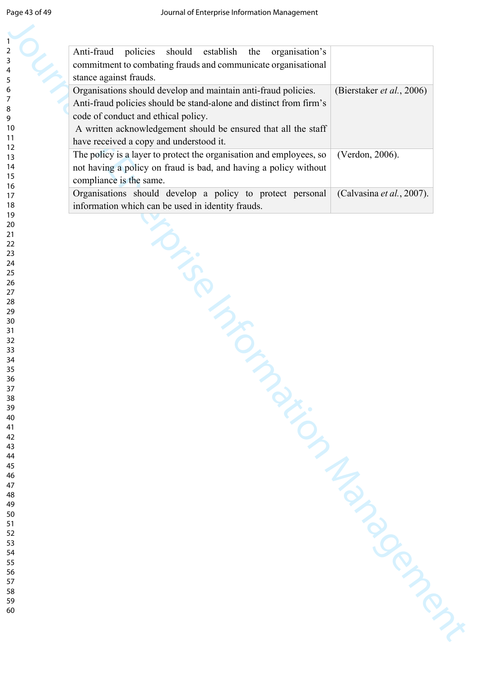| Anti-fraud<br>policies<br>should<br>organisation's<br>establish<br>the<br>commitment to combating frauds and communicate organisational |                           |
|-----------------------------------------------------------------------------------------------------------------------------------------|---------------------------|
| stance against frauds.                                                                                                                  |                           |
| Organisations should develop and maintain anti-fraud policies.                                                                          | (Bierstaker et al., 2006) |
| Anti-fraud policies should be stand-alone and distinct from firm's                                                                      |                           |
| code of conduct and ethical policy.                                                                                                     |                           |
|                                                                                                                                         |                           |
| A written acknowledgement should be ensured that all the staff                                                                          |                           |
| have received a copy and understood it.                                                                                                 |                           |
| The policy is a layer to protect the organisation and employees, so                                                                     | (Verdon, 2006).           |
| not having a policy on fraud is bad, and having a policy without                                                                        |                           |
| compliance is the same.                                                                                                                 |                           |
| Organisations should develop a policy to protect personal                                                                               | (Calvasina et al., 2007). |
| information which can be used in identity frauds.                                                                                       |                           |
|                                                                                                                                         |                           |
|                                                                                                                                         |                           |
|                                                                                                                                         |                           |
|                                                                                                                                         |                           |
|                                                                                                                                         |                           |
|                                                                                                                                         |                           |
|                                                                                                                                         |                           |
|                                                                                                                                         |                           |
|                                                                                                                                         |                           |
|                                                                                                                                         |                           |
|                                                                                                                                         |                           |
|                                                                                                                                         |                           |
|                                                                                                                                         |                           |
|                                                                                                                                         |                           |
| DESCRIPTION                                                                                                                             |                           |
|                                                                                                                                         |                           |
|                                                                                                                                         |                           |
|                                                                                                                                         |                           |
|                                                                                                                                         |                           |
|                                                                                                                                         |                           |
|                                                                                                                                         |                           |
|                                                                                                                                         |                           |
|                                                                                                                                         |                           |
|                                                                                                                                         |                           |
|                                                                                                                                         |                           |
|                                                                                                                                         |                           |
|                                                                                                                                         |                           |
|                                                                                                                                         |                           |
|                                                                                                                                         |                           |
|                                                                                                                                         |                           |
|                                                                                                                                         |                           |
|                                                                                                                                         |                           |
|                                                                                                                                         |                           |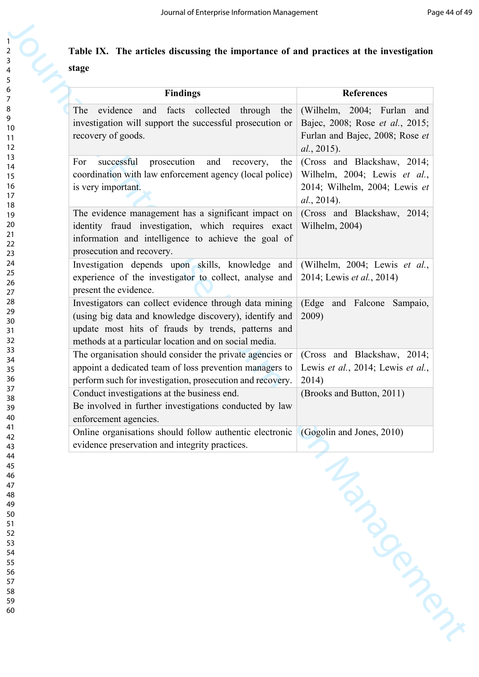#### **Table IX. The articles discussing the importance of and practices at the investigation stage**

| The<br>collected<br>evidence<br>facts<br>through<br>and<br>the<br>investigation will support the successful prosecution or<br>recovery of goods.<br>prosecution<br>successful<br>and<br>recovery,<br>For<br>the<br>coordination with law enforcement agency (local police)<br>is very important.<br>The evidence management has a significant impact on<br>identity fraud investigation, which requires exact | (Wilhelm, 2004; Furlan<br>and<br>Bajec, 2008; Rose et al., 2015;<br>Furlan and Bajec, 2008; Rose et<br>al., 2015). |
|---------------------------------------------------------------------------------------------------------------------------------------------------------------------------------------------------------------------------------------------------------------------------------------------------------------------------------------------------------------------------------------------------------------|--------------------------------------------------------------------------------------------------------------------|
|                                                                                                                                                                                                                                                                                                                                                                                                               | (Cross and Blackshaw, 2014;<br>Wilhelm, 2004; Lewis et al.,<br>2014; Wilhelm, 2004; Lewis et                       |
|                                                                                                                                                                                                                                                                                                                                                                                                               | al., 2014).                                                                                                        |
| information and intelligence to achieve the goal of<br>prosecution and recovery.                                                                                                                                                                                                                                                                                                                              | (Cross and Blackshaw, 2014;<br>Wilhelm, 2004)                                                                      |
| Investigation depends upon skills, knowledge and<br>experience of the investigator to collect, analyse and<br>present the evidence.                                                                                                                                                                                                                                                                           | (Wilhelm, 2004; Lewis et al.,<br>2014; Lewis <i>et al.</i> , 2014)                                                 |
| Investigators can collect evidence through data mining<br>(using big data and knowledge discovery), identify and<br>update most hits of frauds by trends, patterns and<br>methods at a particular location and on social media.                                                                                                                                                                               | (Edge<br>and Falcone Sampaio,<br>2009)                                                                             |
| The organisation should consider the private agencies or<br>appoint a dedicated team of loss prevention managers to<br>perform such for investigation, prosecution and recovery.                                                                                                                                                                                                                              | (Cross and Blackshaw, 2014;<br>Lewis et al., 2014; Lewis et al.,<br>2014)                                          |
| Conduct investigations at the business end.<br>Be involved in further investigations conducted by law<br>enforcement agencies.                                                                                                                                                                                                                                                                                | (Brooks and Button, 2011)                                                                                          |
| Online organisations should follow authentic electronic<br>evidence preservation and integrity practices.                                                                                                                                                                                                                                                                                                     | (Gogolin and Jones, 2010)<br>Management                                                                            |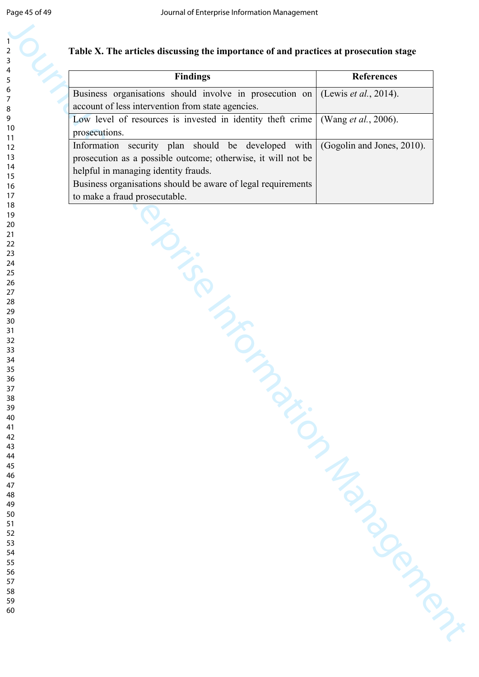#### **Table X. The articles discussing the importance of and practices at prosecution stage**

| <b>Findings</b>                                                                                                    | <b>References</b>          |
|--------------------------------------------------------------------------------------------------------------------|----------------------------|
| Business organisations should involve in prosecution on                                                            | (Lewis et al., 2014).      |
| account of less intervention from state agencies.                                                                  |                            |
| Low level of resources is invested in identity theft crime                                                         | (Wang et al., 2006).       |
| prosecutions.                                                                                                      |                            |
| Information security plan should be developed with<br>prosecution as a possible outcome; otherwise, it will not be | (Gogolin and Jones, 2010). |
| helpful in managing identity frauds.                                                                               |                            |
| Business organisations should be aware of legal requirements                                                       |                            |
| to make a fraud prosecutable.                                                                                      |                            |
|                                                                                                                    |                            |
|                                                                                                                    |                            |
|                                                                                                                    |                            |
|                                                                                                                    |                            |
|                                                                                                                    |                            |
|                                                                                                                    |                            |
|                                                                                                                    |                            |
|                                                                                                                    |                            |
|                                                                                                                    |                            |
|                                                                                                                    |                            |
| is in the same of                                                                                                  |                            |
|                                                                                                                    |                            |
|                                                                                                                    |                            |
|                                                                                                                    |                            |
|                                                                                                                    |                            |
|                                                                                                                    |                            |
|                                                                                                                    |                            |
|                                                                                                                    |                            |
|                                                                                                                    |                            |
|                                                                                                                    |                            |
|                                                                                                                    |                            |
|                                                                                                                    |                            |
|                                                                                                                    |                            |
|                                                                                                                    |                            |
|                                                                                                                    |                            |
|                                                                                                                    |                            |
|                                                                                                                    |                            |
|                                                                                                                    |                            |
|                                                                                                                    |                            |
|                                                                                                                    |                            |
|                                                                                                                    |                            |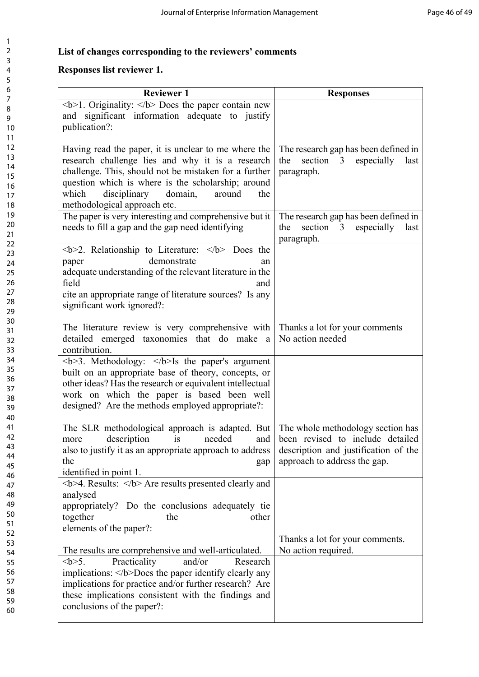#### **List of changes corresponding to the reviewers' comments**

#### **Responses list reviewer 1.**

| Responses list reviewer 1.                                                                                                                                                                                                                                                                                                 |                                                                                                                                               |  |  |
|----------------------------------------------------------------------------------------------------------------------------------------------------------------------------------------------------------------------------------------------------------------------------------------------------------------------------|-----------------------------------------------------------------------------------------------------------------------------------------------|--|--|
| <b>Reviewer 1</b>                                                                                                                                                                                                                                                                                                          | <b>Responses</b>                                                                                                                              |  |  |
| $1.4$ Originality: $2$ Does the paper contain new<br>and significant information adequate to justify<br>publication?:                                                                                                                                                                                                      |                                                                                                                                               |  |  |
| Having read the paper, it is unclear to me where the<br>research challenge lies and why it is a research<br>challenge. This, should not be mistaken for a further<br>question which is where is the scholarship; around<br>which<br>disciplinary<br>domain,<br>around<br>the<br>methodological approach etc.               | The research gap has been defined in<br>section 3 especially<br>the<br>last<br>paragraph.                                                     |  |  |
| The paper is very interesting and comprehensive but it<br>needs to fill a gap and the gap need identifying                                                                                                                                                                                                                 | The research gap has been defined in<br>section 3 especially<br>the<br>last<br>paragraph.                                                     |  |  |
| $2$ . Relationship to Literature: $<$ /b> Does the<br>demonstrate<br>paper<br>an<br>adequate understanding of the relevant literature in the<br>field<br>and<br>cite an appropriate range of literature sources? Is any<br>significant work ignored?:                                                                      |                                                                                                                                               |  |  |
| The literature review is very comprehensive with Thanks a lot for your comments<br>detailed emerged taxonomies that do make a<br>contribution.                                                                                                                                                                             | No action needed                                                                                                                              |  |  |
| $5-3$ . Methodology: $<$ /b>Is the paper's argument<br>built on an appropriate base of theory, concepts, or<br>other ideas? Has the research or equivalent intellectual<br>work on which the paper is based been well<br>designed? Are the methods employed appropriate?:                                                  |                                                                                                                                               |  |  |
| The SLR methodological approach is adapted. But<br>description<br>needed<br>is<br>and<br>more<br>also to justify it as an appropriate approach to address<br>the<br>gap<br>identified in point 1.                                                                                                                          | The whole methodology section has<br>been revised to include detailed<br>description and justification of the<br>approach to address the gap. |  |  |
| <b>4. Results: </b> Are results presented clearly and<br>analysed<br>appropriately? Do the conclusions adequately tie<br>together<br>the<br>other<br>elements of the paper?:                                                                                                                                               |                                                                                                                                               |  |  |
| The results are comprehensive and well-articulated.<br>Practicality<br>and/or<br>$5$ .<br>Research<br>implications: $\langle b \rangle$ Does the paper identify clearly any<br>implications for practice and/or further research? Are<br>these implications consistent with the findings and<br>conclusions of the paper?: | Thanks a lot for your comments.<br>No action required.                                                                                        |  |  |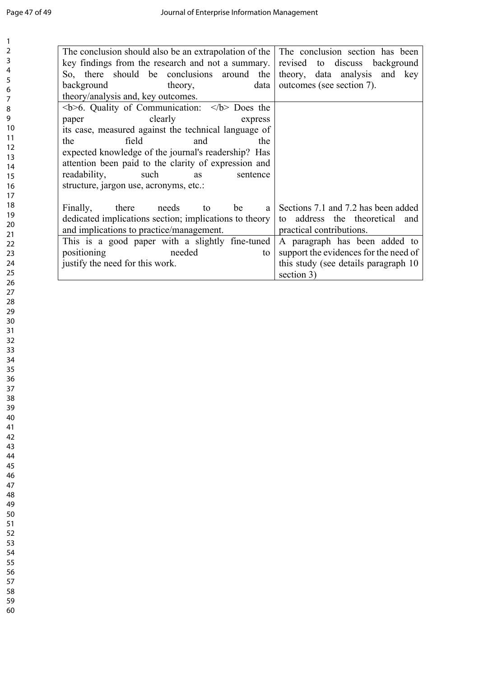| The conclusion should also be an extrapolation of the<br>key findings from the research and not a summary.<br>So, there should be conclusions<br>around the<br>background<br>theory,<br>data | The conclusion section has been<br>revised<br>to discuss background<br>theory, data analysis and key<br>outcomes (see section 7). |
|----------------------------------------------------------------------------------------------------------------------------------------------------------------------------------------------|-----------------------------------------------------------------------------------------------------------------------------------|
| theory/analysis and, key outcomes.                                                                                                                                                           |                                                                                                                                   |
| $5$ Quality of Communication: $5$ Does the                                                                                                                                                   |                                                                                                                                   |
| clearly<br>paper<br>express<br>its case, measured against the technical language of                                                                                                          |                                                                                                                                   |
| field<br>and<br>the<br>the                                                                                                                                                                   |                                                                                                                                   |
| expected knowledge of the journal's readership? Has                                                                                                                                          |                                                                                                                                   |
| attention been paid to the clarity of expression and                                                                                                                                         |                                                                                                                                   |
| readability,<br>such<br>sentence<br>as<br>structure, jargon use, acronyms, etc.:                                                                                                             |                                                                                                                                   |
|                                                                                                                                                                                              |                                                                                                                                   |
| Finally,<br>there<br>needs<br>be<br>to                                                                                                                                                       | Sections 7.1 and 7.2 has been added<br>a                                                                                          |
| dedicated implications section; implications to theory                                                                                                                                       | to address the theoretical<br>and                                                                                                 |
| and implications to practice/management.<br>This is a good paper with a slightly fine-tuned                                                                                                  | practical contributions.<br>A paragraph has been added to                                                                         |
| positioning<br>needed<br>to                                                                                                                                                                  | support the evidences for the need of                                                                                             |
| justify the need for this work.                                                                                                                                                              | this study (see details paragraph 10                                                                                              |
|                                                                                                                                                                                              | section 3)                                                                                                                        |
|                                                                                                                                                                                              |                                                                                                                                   |
|                                                                                                                                                                                              |                                                                                                                                   |
|                                                                                                                                                                                              |                                                                                                                                   |
|                                                                                                                                                                                              |                                                                                                                                   |
|                                                                                                                                                                                              |                                                                                                                                   |
|                                                                                                                                                                                              |                                                                                                                                   |
|                                                                                                                                                                                              |                                                                                                                                   |
|                                                                                                                                                                                              |                                                                                                                                   |
|                                                                                                                                                                                              |                                                                                                                                   |
|                                                                                                                                                                                              |                                                                                                                                   |
|                                                                                                                                                                                              |                                                                                                                                   |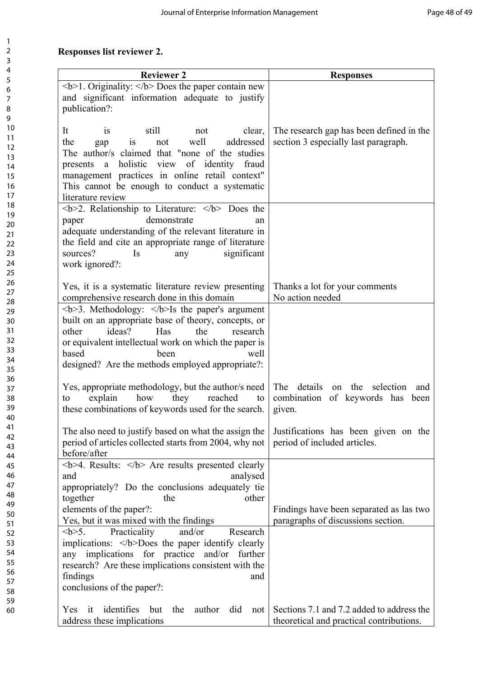#### **Responses list reviewer 2.**

| <b>Reviewer 2</b>                                                                  | <b>Responses</b>                          |
|------------------------------------------------------------------------------------|-------------------------------------------|
| $\langle b \rangle$ 1. Originality: $\langle b \rangle$ Does the paper contain new |                                           |
| and significant information adequate to justify                                    |                                           |
| publication?:                                                                      |                                           |
|                                                                                    |                                           |
| still<br>It<br>clear,<br>not<br><b>1S</b>                                          | The research gap has been defined in the  |
| well<br>addressed<br>the<br>not<br><b>1S</b><br>gap                                | section 3 especially last paragraph.      |
| The author/s claimed that "none of the studies"                                    |                                           |
| holistic view of identity fraud<br>presents a                                      |                                           |
| management practices in online retail context"                                     |                                           |
| This cannot be enough to conduct a systematic                                      |                                           |
| literature review                                                                  |                                           |
| $2$ . Relationship to Literature: $<$ /b> Does the                                 |                                           |
| demonstrate<br>paper<br>an                                                         |                                           |
| adequate understanding of the relevant literature in                               |                                           |
| the field and cite an appropriate range of literature                              |                                           |
| sources?<br>significant<br>Is<br>any                                               |                                           |
| work ignored?:                                                                     |                                           |
|                                                                                    |                                           |
| Yes, it is a systematic literature review presenting                               | Thanks a lot for your comments            |
| comprehensive research done in this domain                                         | No action needed                          |
| $3$ . Methodology: $<$ /b>Is the paper's argument                                  |                                           |
| built on an appropriate base of theory, concepts, or                               |                                           |
| ideas?<br>Has<br>other<br>the<br>research                                          |                                           |
| or equivalent intellectual work on which the paper is                              |                                           |
| based<br>been<br>well                                                              |                                           |
| designed? Are the methods employed appropriate?:                                   |                                           |
|                                                                                    |                                           |
| Yes, appropriate methodology, but the author/s need                                | The details<br>on the selection<br>and    |
| explain<br>how<br>they<br>reached<br>to<br>to                                      | combination of keywords has been          |
| these combinations of keywords used for the search.                                | given.                                    |
|                                                                                    |                                           |
| The also need to justify based on what the assign the                              | Justifications has been given on the      |
| period of articles collected starts from 2004, why not                             | period of included articles.              |
| before/after                                                                       |                                           |
| $5-4$ . Results: $6$ Are results presented clearly                                 |                                           |
| analysed<br>and                                                                    |                                           |
| appropriately? Do the conclusions adequately tie<br>together<br>other<br>the       |                                           |
| elements of the paper?:                                                            | Findings have been separated as las two   |
| Yes, but it was mixed with the findings                                            | paragraphs of discussions section.        |
| $5$ .<br>Practicality<br>and/or<br>Research                                        |                                           |
| implications: $\langle b \rangle$ Does the paper identify clearly                  |                                           |
| any implications for practice and/or further                                       |                                           |
| research? Are these implications consistent with the                               |                                           |
| findings<br>and                                                                    |                                           |
| conclusions of the paper?:                                                         |                                           |
|                                                                                    |                                           |
| Yes it identifies but<br>the<br>author did not                                     | Sections 7.1 and 7.2 added to address the |
|                                                                                    | theoretical and practical contributions.  |